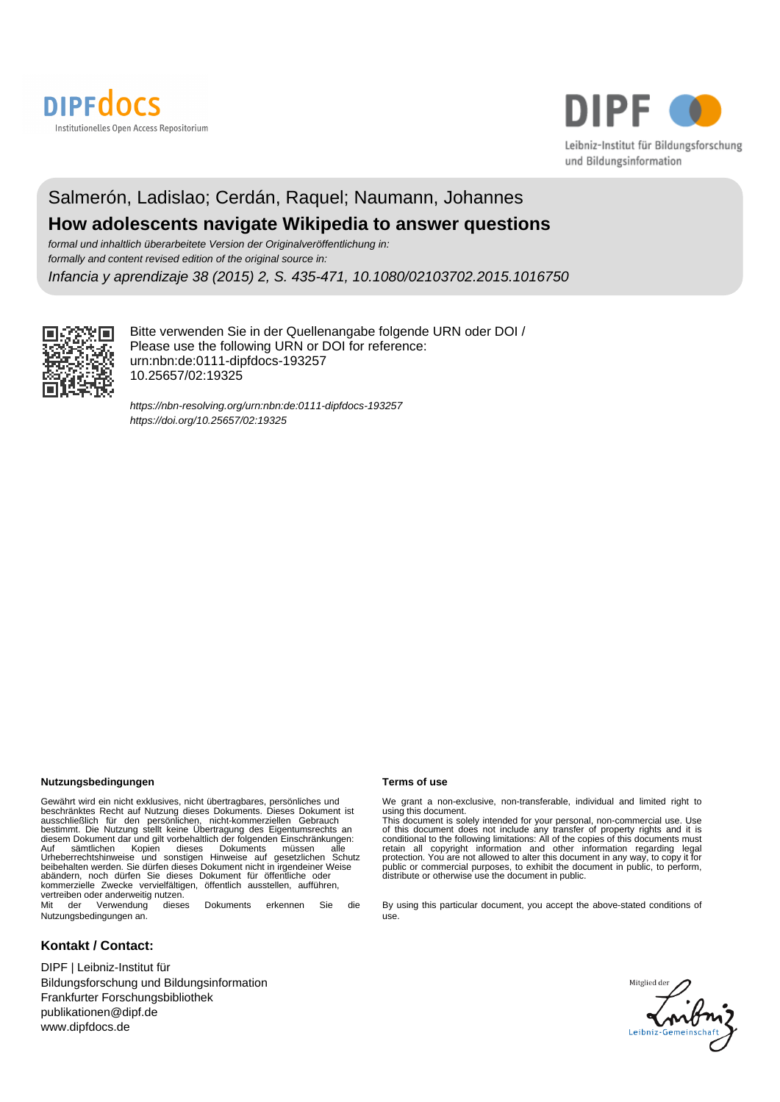



# Salmerón, Ladislao; Cerdán, Raquel; Naumann, Johannes **How adolescents navigate Wikipedia to answer questions**

formal und inhaltlich überarbeitete Version der Originalveröffentlichung in: formally and content revised edition of the original source in:

Infancia y aprendizaje 38 (2015) 2, S. 435-471, 10.1080/02103702.2015.1016750



Bitte verwenden Sie in der Quellenangabe folgende URN oder DOI / Please use the following URN or DOI for reference: urn:nbn:de:0111-dipfdocs-193257 10.25657/02:19325

<https://nbn-resolving.org/urn:nbn:de:0111-dipfdocs-193257> <https://doi.org/10.25657/02:19325>

## **Nutzungsbedingungen Terms of use**

Gewährt wird ein nicht exklusives, nicht übertragbares, persönliches und beschränktes Recht auf Nutzung dieses Dokuments. Dieses Dokument ist<br>ausschließlich für den persönlichen, nicht-kommerziellen Gebrauch<br>bestimmt. Die Nutzung stellt keine Übertragung des Eigentumsrechts an<br>diesem Dokument d Auf sämtlichen Kopien dieses Dokuments müssen alle<br>Urheberrechtshinweise und sonstigen Hinweise auf gesetzlichen Schutz<br>beibehalten werden. Sie dürfen dieses Dokument nicht in irgendeiner Weise abändern, noch dürfen Sie dieses Dokument für öffentliche oder kommerzielle Zwecke vervielfältigen, öffentlich ausstellen, aufführen, vertreiben oder anderweitig nutzen.<br>Mit der Verwendung dieses Mit der Verwendung dieses Dokuments erkennen Sie die

Nutzungsbedingungen an.

# **Kontakt / Contact:**

DIPF | Leibniz-Institut für Bildungsforschung und Bildungsinformation Frankfurter Forschungsbibliothek publikationen@dipf.de www.dipfdocs.de

We grant a non-exclusive, non-transferable, individual and limited right to<br>using this document.<br>This document is solely intended for your personal, non-commercial use. Use<br>of this document does not include any transfer of

By using this particular document, you accept the above-stated conditions of use.

slied der<br>**Anibry** Mitglied dei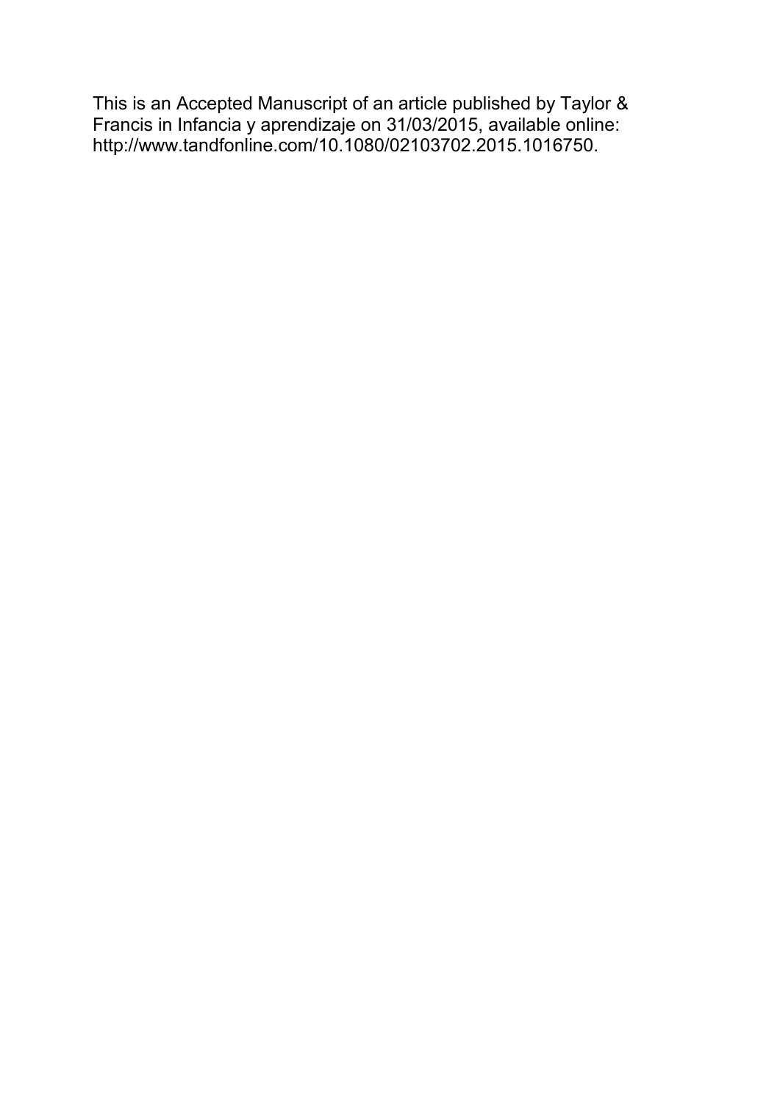This is an Accepted Manuscript of an article published by Taylor & Francis in Infancia y aprendizaje on 31/03/2015, available online: http://www.tandfonline.com/10.1080/02103702.2015.1016750.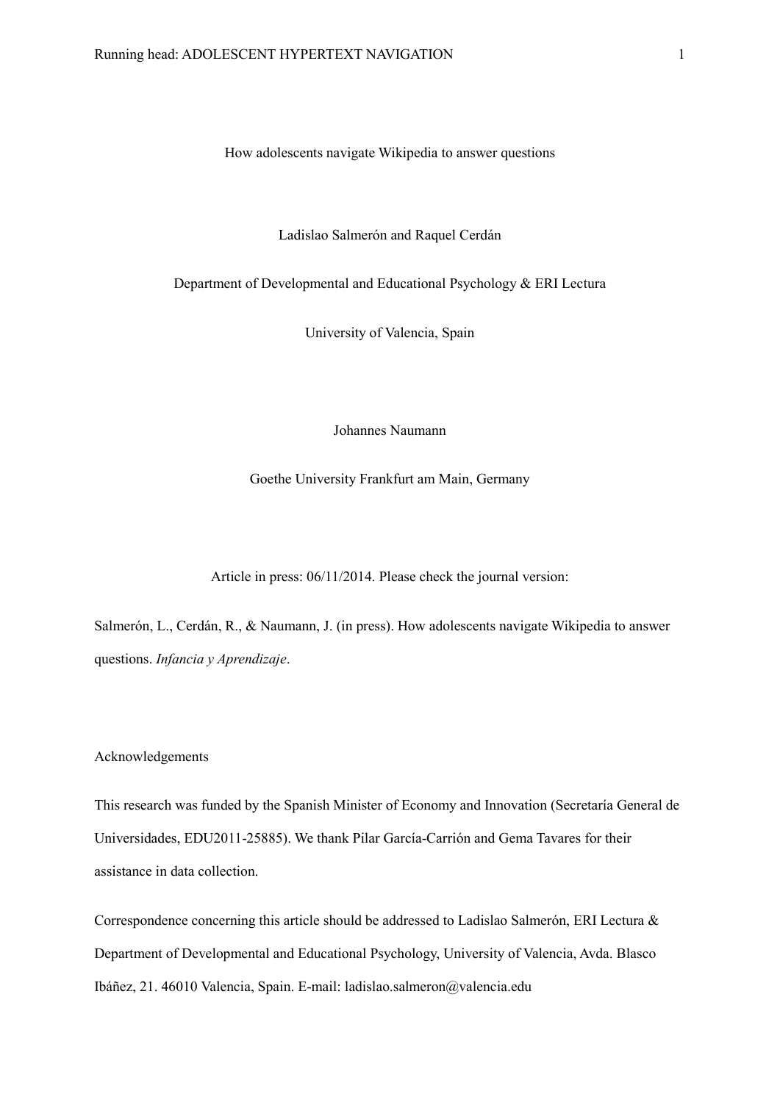# How adolescents navigate Wikipedia to answer questions

# Ladislao Salmerón and Raquel Cerdán

Department of Developmental and Educational Psychology & ERI Lectura

University of Valencia, Spain

Johannes Naumann

Goethe University Frankfurt am Main, Germany

Article in press: 06/11/2014. Please check the journal version:

Salmerón, L., Cerdán, R., & Naumann, J. (in press). How adolescents navigate Wikipedia to answer questions. *Infancia y Aprendizaje*.

# Acknowledgements

This research was funded by the Spanish Minister of Economy and Innovation (Secretaría General de Universidades, EDU2011-25885). We thank Pilar García-Carrión and Gema Tavares for their assistance in data collection.

Correspondence concerning this article should be addressed to Ladislao Salmerón, ERI Lectura & Department of Developmental and Educational Psychology, University of Valencia, Avda. Blasco Ibáñez, 21. 46010 Valencia, Spain. E-mail: ladislao.salmeron@valencia.edu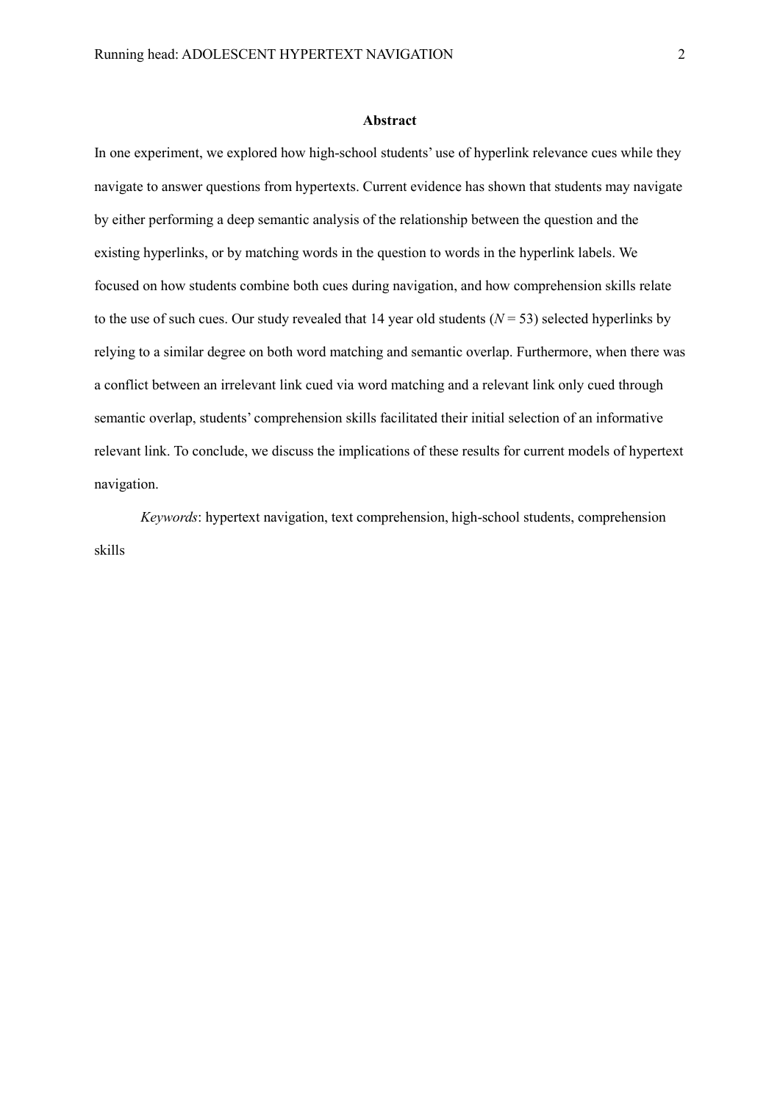# **Abstract**

In one experiment, we explored how high-school students' use of hyperlink relevance cues while they navigate to answer questions from hypertexts. Current evidence has shown that students may navigate by either performing a deep semantic analysis of the relationship between the question and the existing hyperlinks, or by matching words in the question to words in the hyperlink labels. We focused on how students combine both cues during navigation, and how comprehension skills relate to the use of such cues. Our study revealed that 14 year old students (*N* = 53) selected hyperlinks by relying to a similar degree on both word matching and semantic overlap. Furthermore, when there was a conflict between an irrelevant link cued via word matching and a relevant link only cued through semantic overlap, students' comprehension skills facilitated their initial selection of an informative relevant link. To conclude, we discuss the implications of these results for current models of hypertext navigation.

*Keywords*: hypertext navigation, text comprehension, high-school students, comprehension skills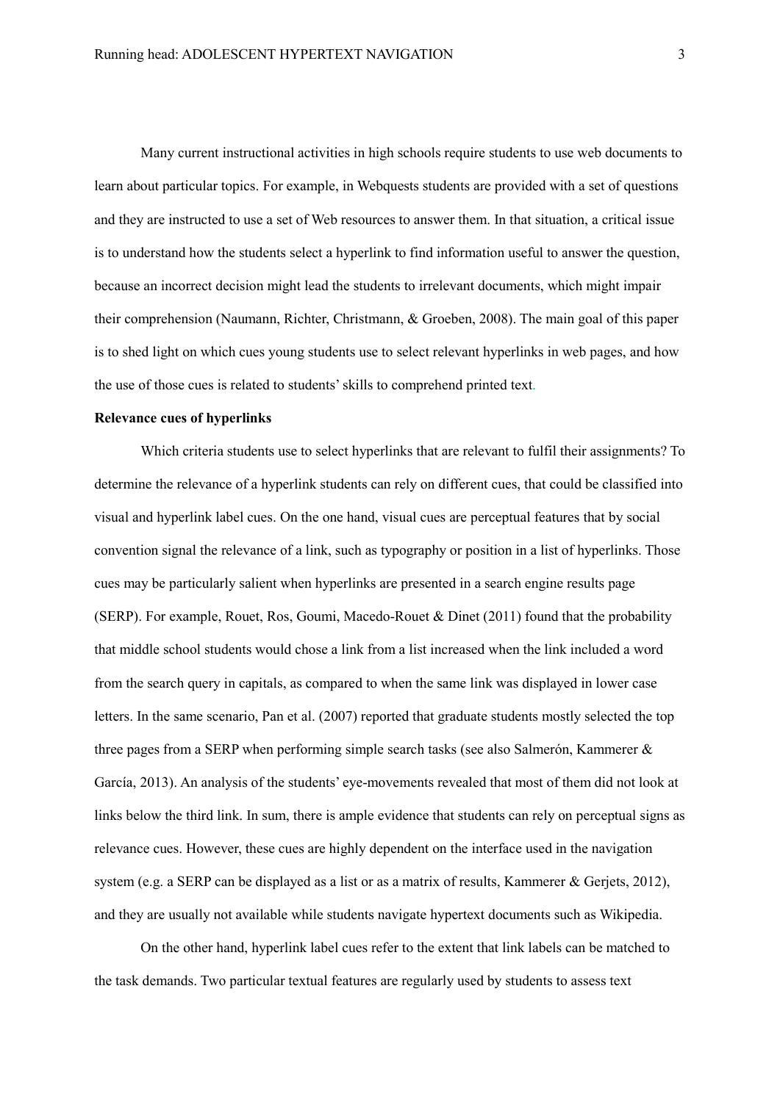Many current instructional activities in high schools require students to use web documents to learn about particular topics. For example, in Webquests students are provided with a set of questions and they are instructed to use a set of Web resources to answer them. In that situation, a critical issue is to understand how the students select a hyperlink to find information useful to answer the question, because an incorrect decision might lead the students to irrelevant documents, which might impair their comprehension (Naumann, Richter, Christmann, & Groeben, 2008). The main goal of this paper is to shed light on which cues young students use to select relevant hyperlinks in web pages, and how the use of those cues is related to students' skills to comprehend printed text.

# **Relevance cues of hyperlinks**

Which criteria students use to select hyperlinks that are relevant to fulfil their assignments? To determine the relevance of a hyperlink students can rely on different cues, that could be classified into visual and hyperlink label cues. On the one hand, visual cues are perceptual features that by social convention signal the relevance of a link, such as typography or position in a list of hyperlinks. Those cues may be particularly salient when hyperlinks are presented in a search engine results page (SERP). For example, Rouet, Ros, Goumi, Macedo-Rouet & Dinet (2011) found that the probability that middle school students would chose a link from a list increased when the link included a word from the search query in capitals, as compared to when the same link was displayed in lower case letters. In the same scenario, Pan et al. (2007) reported that graduate students mostly selected the top three pages from a SERP when performing simple search tasks (see also Salmerón, Kammerer & García, 2013). An analysis of the students' eye-movements revealed that most of them did not look at links below the third link. In sum, there is ample evidence that students can rely on perceptual signs as relevance cues. However, these cues are highly dependent on the interface used in the navigation system (e.g. a SERP can be displayed as a list or as a matrix of results, Kammerer & Geriets, 2012), and they are usually not available while students navigate hypertext documents such as Wikipedia.

On the other hand, hyperlink label cues refer to the extent that link labels can be matched to the task demands. Two particular textual features are regularly used by students to assess text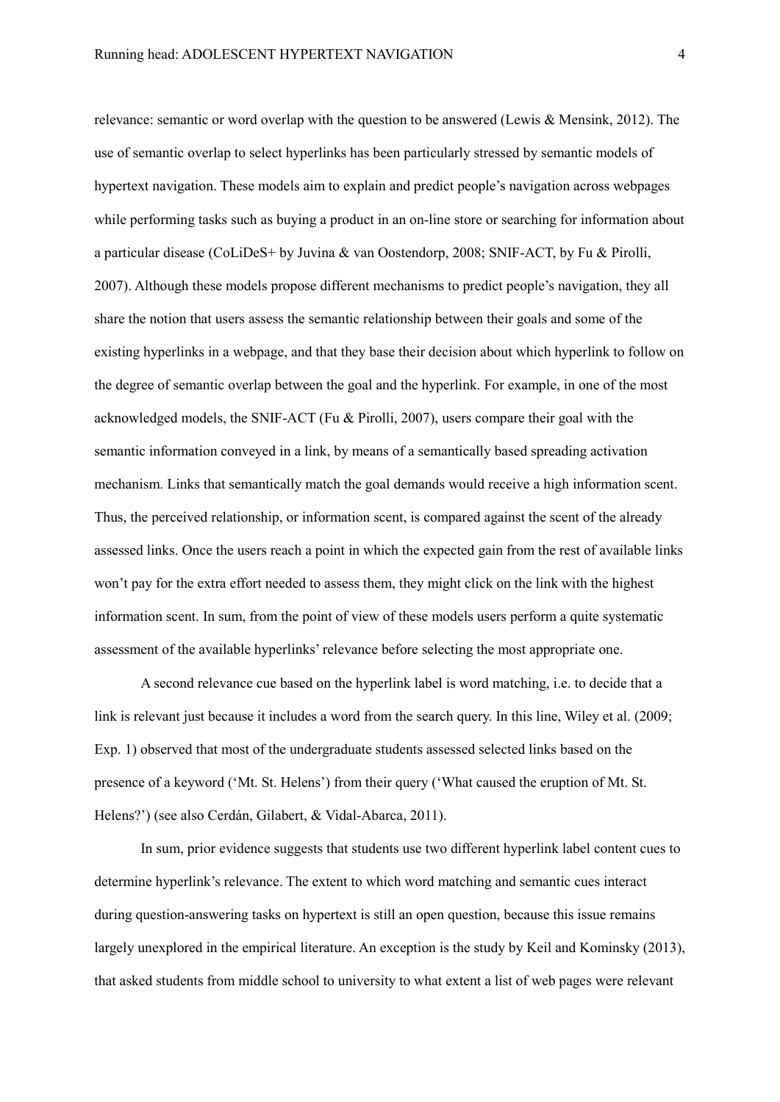relevance: semantic or word overlap with the question to be answered (Lewis & Mensink, 2012). The use of semantic overlap to select hyperlinks has been particularly stressed by semantic models of hypertext navigation. These models aim to explain and predict people's navigation across webpages while performing tasks such as buying a product in an on-line store or searching for information about a particular disease (CoLiDeS+ by Juvina & van Oostendorp, 2008; SNIF-ACT, by Fu & Pirolli, 2007). Although these models propose different mechanisms to predict people's navigation, they all share the notion that users assess the semantic relationship between their goals and some of the existing hyperlinks in a webpage, and that they base their decision about which hyperlink to follow on the degree of semantic overlap between the goal and the hyperlink. For example, in one of the most acknowledged models, the SNIF-ACT (Fu & Pirolli, 2007), users compare their goal with the semantic information conveyed in a link, by means of a semantically based spreading activation mechanism. Links that semantically match the goal demands would receive a high information scent. Thus, the perceived relationship, or information scent, is compared against the scent of the already assessed links. Once the users reach a point in which the expected gain from the rest of available links won't pay for the extra effort needed to assess them, they might click on the link with the highest information scent. In sum, from the point of view of these models users perform a quite systematic assessment of the available hyperlinks' relevance before selecting the most appropriate one.

A second relevance cue based on the hyperlink label is word matching, i.e. to decide that a link is relevant just because it includes a word from the search query. In this line, Wiley et al. (2009; Exp. 1) observed that most of the undergraduate students assessed selected links based on the presence of a keyword ('Mt. St. Helens') from their query ('What caused the eruption of Mt. St. Helens?') (see also Cerdán, Gilabert, & Vidal-Abarca, 2011).

In sum, prior evidence suggests that students use two different hyperlink label content cues to determine hyperlink's relevance. The extent to which word matching and semantic cues interact during question-answering tasks on hypertext is still an open question, because this issue remains largely unexplored in the empirical literature. An exception is the study by Keil and Kominsky (2013), that asked students from middle school to university to what extent a list of web pages were relevant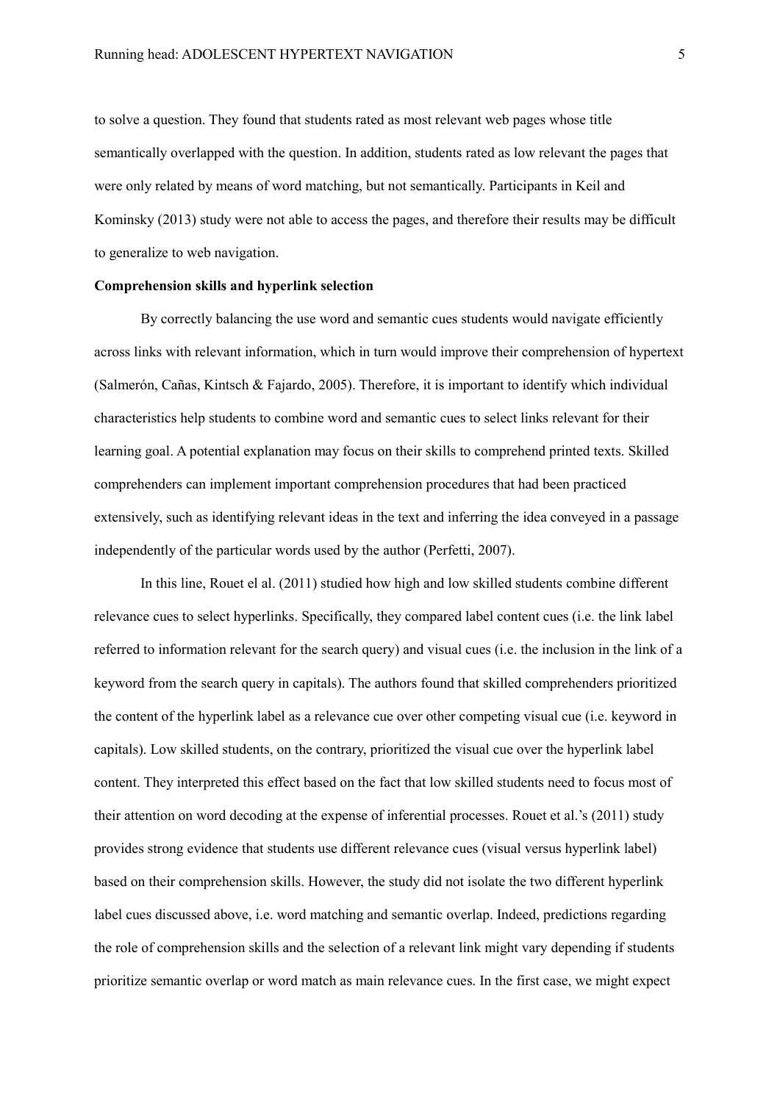to solve a question. They found that students rated as most relevant web pages whose title semantically overlapped with the question. In addition, students rated as low relevant the pages that were only related by means of word matching, but not semantically. Participants in Keil and Kominsky (2013) study were not able to access the pages, and therefore their results may be difficult to generalize to web navigation.

# **Comprehension skills and hyperlink selection**

By correctly balancing the use word and semantic cues students would navigate efficiently across links with relevant information, which in turn would improve their comprehension of hypertext (Salmerón, Cañas, Kintsch & Fajardo, 2005). Therefore, it is important to identify which individual characteristics help students to combine word and semantic cues to select links relevant for their learning goal. A potential explanation may focus on their skills to comprehend printed texts. Skilled comprehenders can implement important comprehension procedures that had been practiced extensively, such as identifying relevant ideas in the text and inferring the idea conveyed in a passage independently of the particular words used by the author (Perfetti, 2007).

In this line, Rouet el al. (2011) studied how high and low skilled students combine different relevance cues to select hyperlinks. Specifically, they compared label content cues (i.e. the link label referred to information relevant for the search query) and visual cues (i.e. the inclusion in the link of a keyword from the search query in capitals). The authors found that skilled comprehenders prioritized the content of the hyperlink label as a relevance cue over other competing visual cue (i.e. keyword in capitals). Low skilled students, on the contrary, prioritized the visual cue over the hyperlink label content. They interpreted this effect based on the fact that low skilled students need to focus most of their attention on word decoding at the expense of inferential processes. Rouet et al.'s (2011) study provides strong evidence that students use different relevance cues (visual versus hyperlink label) based on their comprehension skills. However, the study did not isolate the two different hyperlink label cues discussed above, i.e. word matching and semantic overlap. Indeed, predictions regarding the role of comprehension skills and the selection of a relevant link might vary depending if students prioritize semantic overlap or word match as main relevance cues. In the first case, we might expect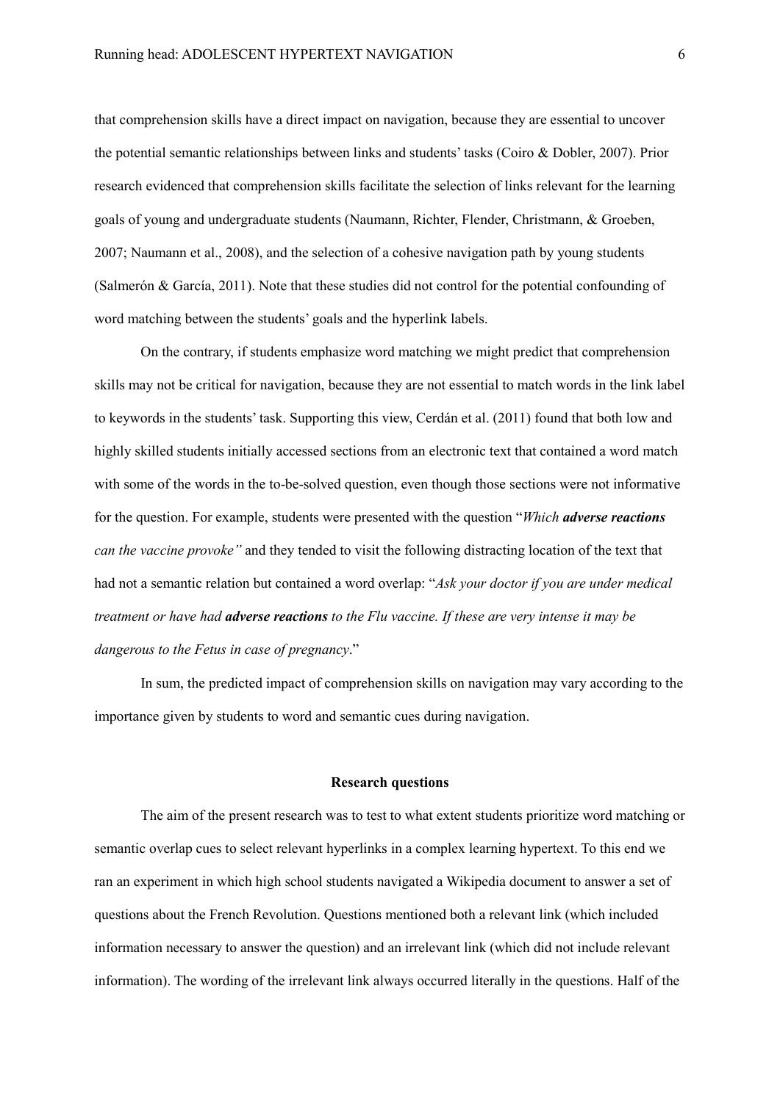that comprehension skills have a direct impact on navigation, because they are essential to uncover the potential semantic relationships between links and students' tasks (Coiro & Dobler, 2007). Prior research evidenced that comprehension skills facilitate the selection of links relevant for the learning goals of young and undergraduate students (Naumann, Richter, Flender, Christmann, & Groeben, 2007; Naumann et al., 2008), and the selection of a cohesive navigation path by young students (Salmerón & García, 2011). Note that these studies did not control for the potential confounding of word matching between the students' goals and the hyperlink labels.

On the contrary, if students emphasize word matching we might predict that comprehension skills may not be critical for navigation, because they are not essential to match words in the link label to keywords in the students' task. Supporting this view, Cerdán et al. (2011) found that both low and highly skilled students initially accessed sections from an electronic text that contained a word match with some of the words in the to-be-solved question, even though those sections were not informative for the question. For example, students were presented with the question "*Which adverse reactions can the vaccine provoke"* and they tended to visit the following distracting location of the text that had not a semantic relation but contained a word overlap: "*Ask your doctor if you are under medical treatment or have had adverse reactions to the Flu vaccine. If these are very intense it may be dangerous to the Fetus in case of pregnancy*."

In sum, the predicted impact of comprehension skills on navigation may vary according to the importance given by students to word and semantic cues during navigation.

# **Research questions**

The aim of the present research was to test to what extent students prioritize word matching or semantic overlap cues to select relevant hyperlinks in a complex learning hypertext. To this end we ran an experiment in which high school students navigated a Wikipedia document to answer a set of questions about the French Revolution. Questions mentioned both a relevant link (which included information necessary to answer the question) and an irrelevant link (which did not include relevant information). The wording of the irrelevant link always occurred literally in the questions. Half of the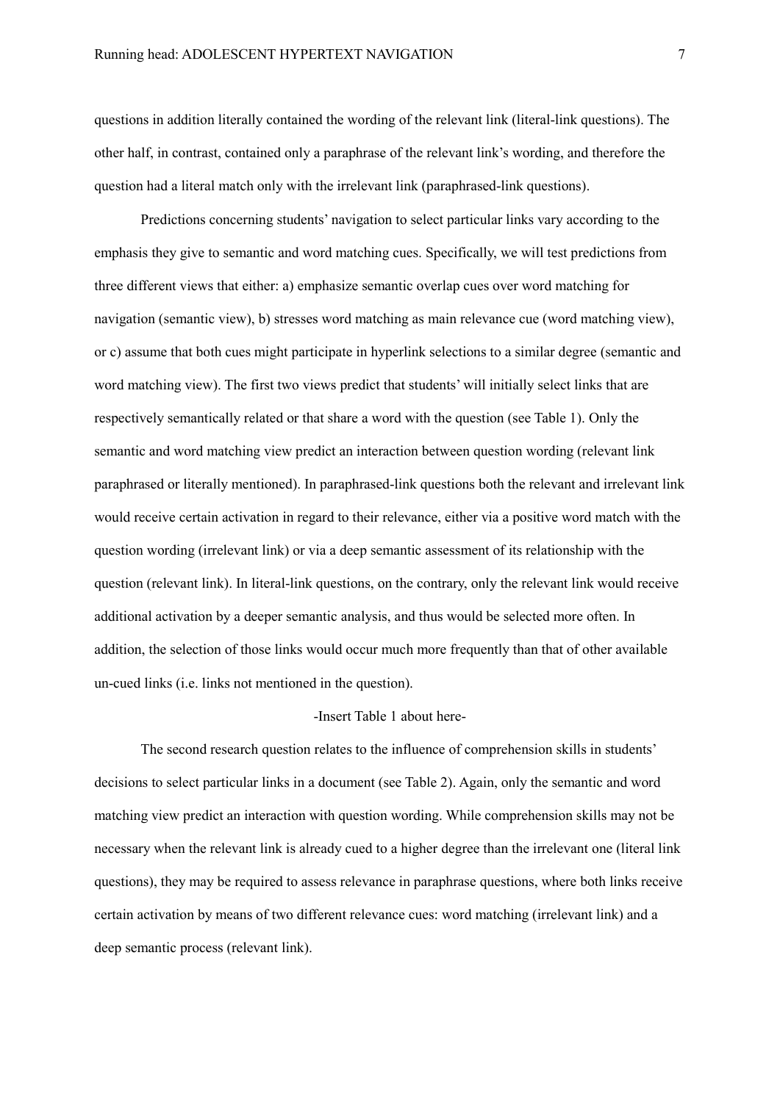questions in addition literally contained the wording of the relevant link (literal-link questions). The other half, in contrast, contained only a paraphrase of the relevant link's wording, and therefore the question had a literal match only with the irrelevant link (paraphrased-link questions).

Predictions concerning students' navigation to select particular links vary according to the emphasis they give to semantic and word matching cues. Specifically, we will test predictions from three different views that either: a) emphasize semantic overlap cues over word matching for navigation (semantic view), b) stresses word matching as main relevance cue (word matching view), or c) assume that both cues might participate in hyperlink selections to a similar degree (semantic and word matching view). The first two views predict that students' will initially select links that are respectively semantically related or that share a word with the question (see Table 1). Only the semantic and word matching view predict an interaction between question wording (relevant link paraphrased or literally mentioned). In paraphrased-link questions both the relevant and irrelevant link would receive certain activation in regard to their relevance, either via a positive word match with the question wording (irrelevant link) or via a deep semantic assessment of its relationship with the question (relevant link). In literal-link questions, on the contrary, only the relevant link would receive additional activation by a deeper semantic analysis, and thus would be selected more often. In addition, the selection of those links would occur much more frequently than that of other available un-cued links (i.e. links not mentioned in the question).

# -Insert Table 1 about here-

The second research question relates to the influence of comprehension skills in students' decisions to select particular links in a document (see Table 2). Again, only the semantic and word matching view predict an interaction with question wording. While comprehension skills may not be necessary when the relevant link is already cued to a higher degree than the irrelevant one (literal link questions), they may be required to assess relevance in paraphrase questions, where both links receive certain activation by means of two different relevance cues: word matching (irrelevant link) and a deep semantic process (relevant link).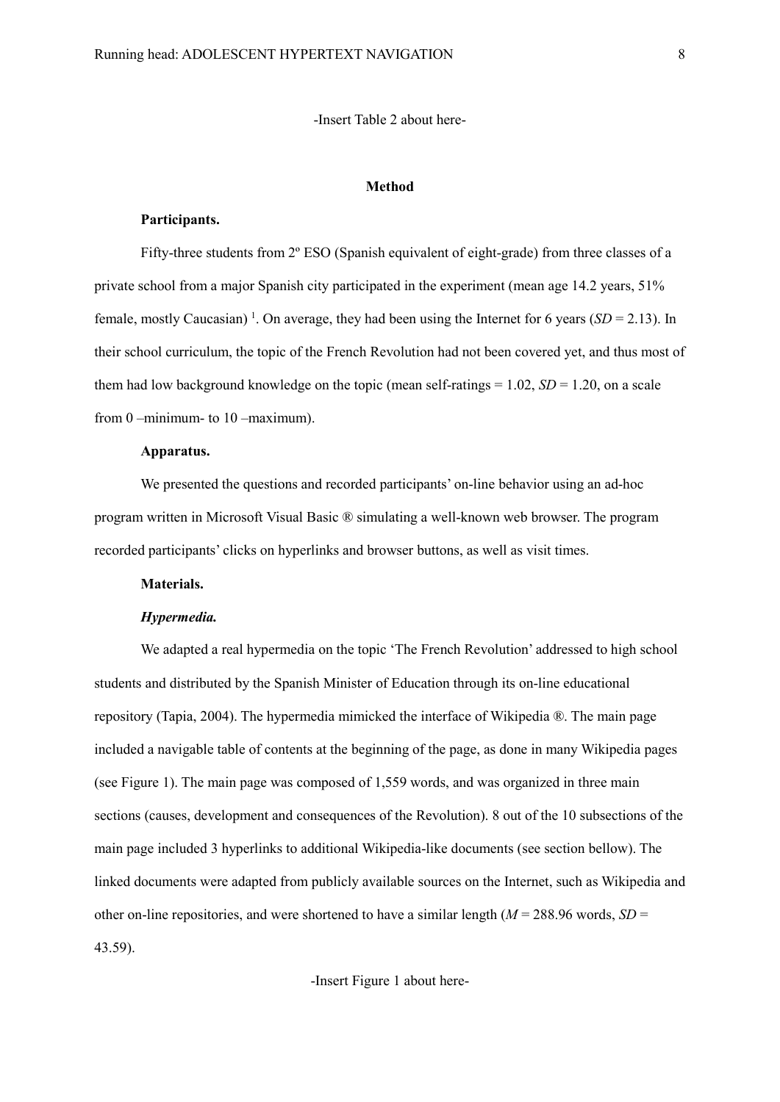# -Insert Table 2 about here-

# **Method**

# **Participants.**

Fifty-three students from 2° ESO (Spanish equivalent of eight-grade) from three classes of a private school from a major Spanish city participated in the experiment (mean age 14.2 years, 51% female, mostly Caucasian)<sup>1</sup>. On average, they had been using the Internet for 6 years ( $SD = 2.13$ ). In their school curriculum, the topic of the French Revolution had not been covered yet, and thus most of them had low background knowledge on the topic (mean self-ratings = 1.02, *SD* = 1.20, on a scale from 0 –minimum- to 10 –maximum).

# **Apparatus.**

We presented the questions and recorded participants' on-line behavior using an ad-hoc program written in Microsoft Visual Basic ® simulating a well-known web browser. The program recorded participants' clicks on hyperlinks and browser buttons, as well as visit times.

# **Materials.**

# *Hypermedia.*

We adapted a real hypermedia on the topic 'The French Revolution' addressed to high school students and distributed by the Spanish Minister of Education through its on-line educational repository (Tapia, 2004). The hypermedia mimicked the interface of Wikipedia ®. The main page included a navigable table of contents at the beginning of the page, as done in many Wikipedia pages (see Figure 1). The main page was composed of 1,559 words, and was organized in three main sections (causes, development and consequences of the Revolution). 8 out of the 10 subsections of the main page included 3 hyperlinks to additional Wikipedia-like documents (see section bellow). The linked documents were adapted from publicly available sources on the Internet, such as Wikipedia and other on-line repositories, and were shortened to have a similar length ( $M = 288.96$  words,  $SD =$ 43.59).

-Insert Figure 1 about here-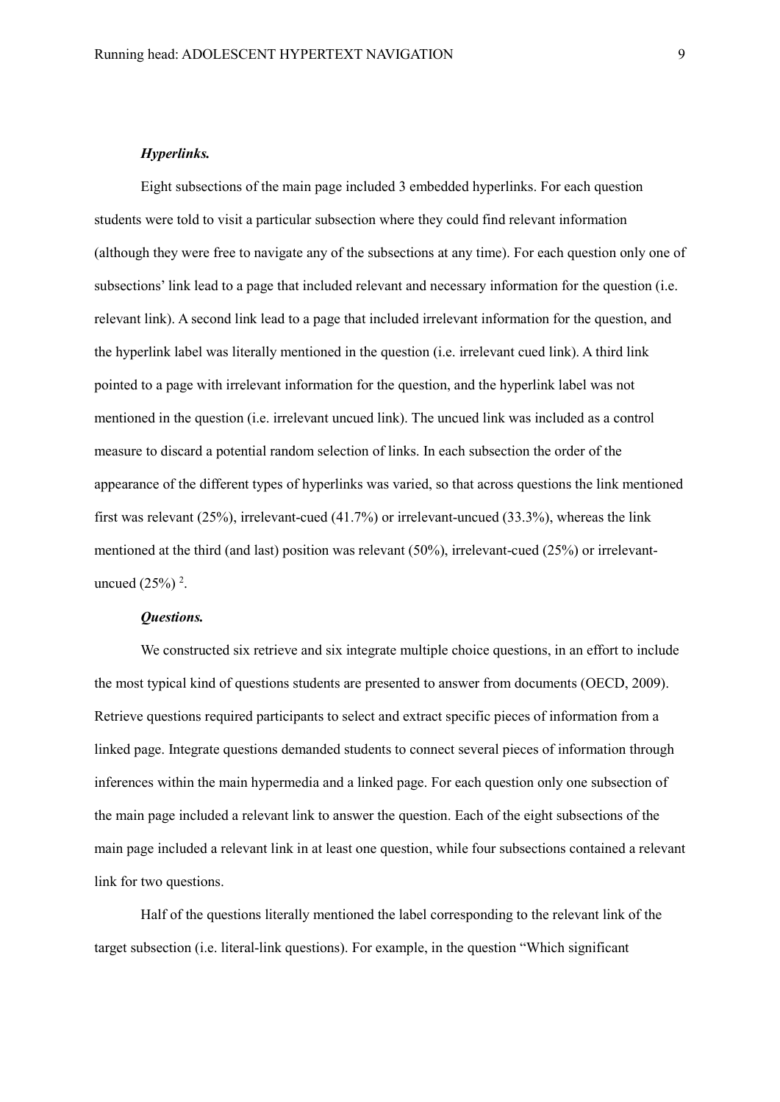# *Hyperlinks.*

Eight subsections of the main page included 3 embedded hyperlinks. For each question students were told to visit a particular subsection where they could find relevant information (although they were free to navigate any of the subsections at any time). For each question only one of subsections' link lead to a page that included relevant and necessary information for the question (i.e. relevant link). A second link lead to a page that included irrelevant information for the question, and the hyperlink label was literally mentioned in the question (i.e. irrelevant cued link). A third link pointed to a page with irrelevant information for the question, and the hyperlink label was not mentioned in the question (i.e. irrelevant uncued link). The uncued link was included as a control measure to discard a potential random selection of links. In each subsection the order of the appearance of the different types of hyperlinks was varied, so that across questions the link mentioned first was relevant (25%), irrelevant-cued (41.7%) or irrelevant-uncued (33.3%), whereas the link mentioned at the third (and last) position was relevant (50%), irrelevant-cued (25%) or irrelevantuncued  $(25%)^2$ .

# *Questions.*

We constructed six retrieve and six integrate multiple choice questions, in an effort to include the most typical kind of questions students are presented to answer from documents (OECD, 2009). Retrieve questions required participants to select and extract specific pieces of information from a linked page. Integrate questions demanded students to connect several pieces of information through inferences within the main hypermedia and a linked page. For each question only one subsection of the main page included a relevant link to answer the question. Each of the eight subsections of the main page included a relevant link in at least one question, while four subsections contained a relevant link for two questions.

Half of the questions literally mentioned the label corresponding to the relevant link of the target subsection (i.e. literal-link questions). For example, in the question "Which significant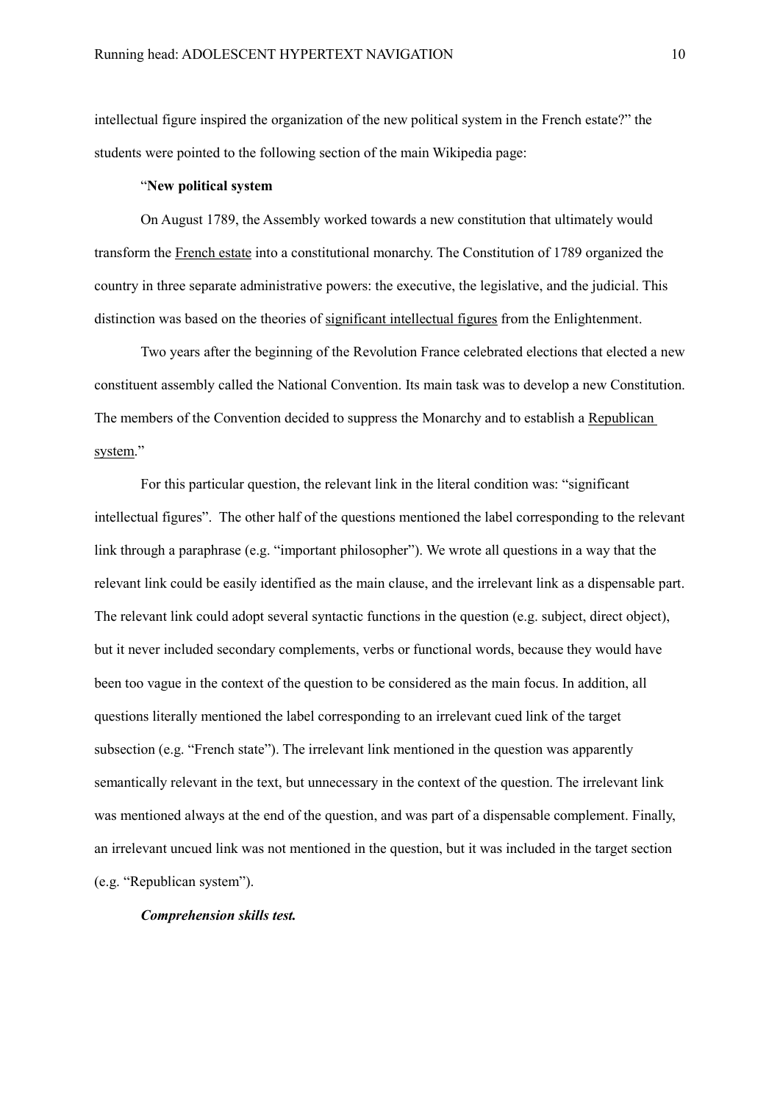intellectual figure inspired the organization of the new political system in the French estate?" the students were pointed to the following section of the main Wikipedia page:

# "**New political system**

On August 1789, the Assembly worked towards a new constitution that ultimately would transform the French estate into a constitutional monarchy. The Constitution of 1789 organized the country in three separate administrative powers: the executive, the legislative, and the judicial. This distinction was based on the theories of significant intellectual figures from the Enlightenment.

Two years after the beginning of the Revolution France celebrated elections that elected a new constituent assembly called the National Convention. Its main task was to develop a new Constitution. The members of the Convention decided to suppress the Monarchy and to establish a Republican system."

For this particular question, the relevant link in the literal condition was: "significant intellectual figures". The other half of the questions mentioned the label corresponding to the relevant link through a paraphrase (e.g. "important philosopher"). We wrote all questions in a way that the relevant link could be easily identified as the main clause, and the irrelevant link as a dispensable part. The relevant link could adopt several syntactic functions in the question (e.g. subject, direct object), but it never included secondary complements, verbs or functional words, because they would have been too vague in the context of the question to be considered as the main focus. In addition, all questions literally mentioned the label corresponding to an irrelevant cued link of the target subsection (e.g. "French state"). The irrelevant link mentioned in the question was apparently semantically relevant in the text, but unnecessary in the context of the question. The irrelevant link was mentioned always at the end of the question, and was part of a dispensable complement. Finally, an irrelevant uncued link was not mentioned in the question, but it was included in the target section (e.g. "Republican system").

# *Comprehension skills test.*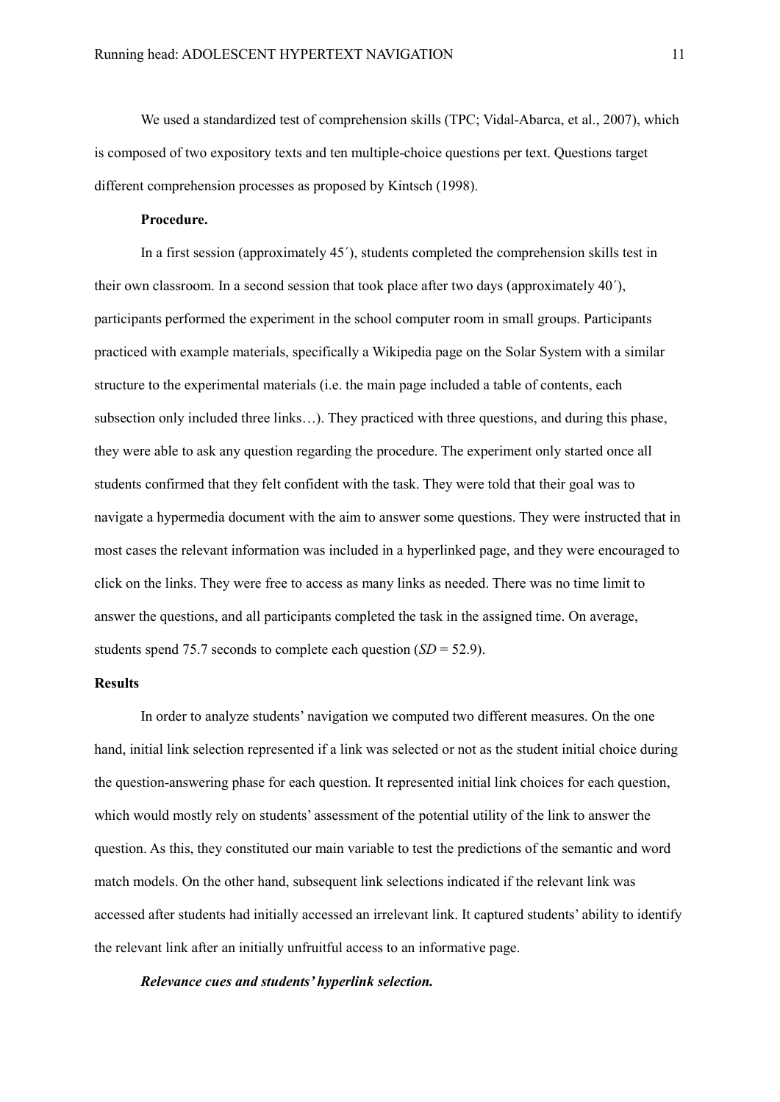We used a standardized test of comprehension skills (TPC; Vidal-Abarca, et al., 2007), which is composed of two expository texts and ten multiple-choice questions per text. Questions target different comprehension processes as proposed by Kintsch (1998).

# **Procedure.**

In a first session (approximately 45´), students completed the comprehension skills test in their own classroom. In a second session that took place after two days (approximately 40´), participants performed the experiment in the school computer room in small groups. Participants practiced with example materials, specifically a Wikipedia page on the Solar System with a similar structure to the experimental materials (i.e. the main page included a table of contents, each subsection only included three links…). They practiced with three questions, and during this phase, they were able to ask any question regarding the procedure. The experiment only started once all students confirmed that they felt confident with the task. They were told that their goal was to navigate a hypermedia document with the aim to answer some questions. They were instructed that in most cases the relevant information was included in a hyperlinked page, and they were encouraged to click on the links. They were free to access as many links as needed. There was no time limit to answer the questions, and all participants completed the task in the assigned time. On average, students spend 75.7 seconds to complete each question (*SD* = 52.9).

# **Results**

In order to analyze students' navigation we computed two different measures. On the one hand, initial link selection represented if a link was selected or not as the student initial choice during the question-answering phase for each question. It represented initial link choices for each question, which would mostly rely on students' assessment of the potential utility of the link to answer the question. As this, they constituted our main variable to test the predictions of the semantic and word match models. On the other hand, subsequent link selections indicated if the relevant link was accessed after students had initially accessed an irrelevant link. It captured students' ability to identify the relevant link after an initially unfruitful access to an informative page.

*Relevance cues and students' hyperlink selection.*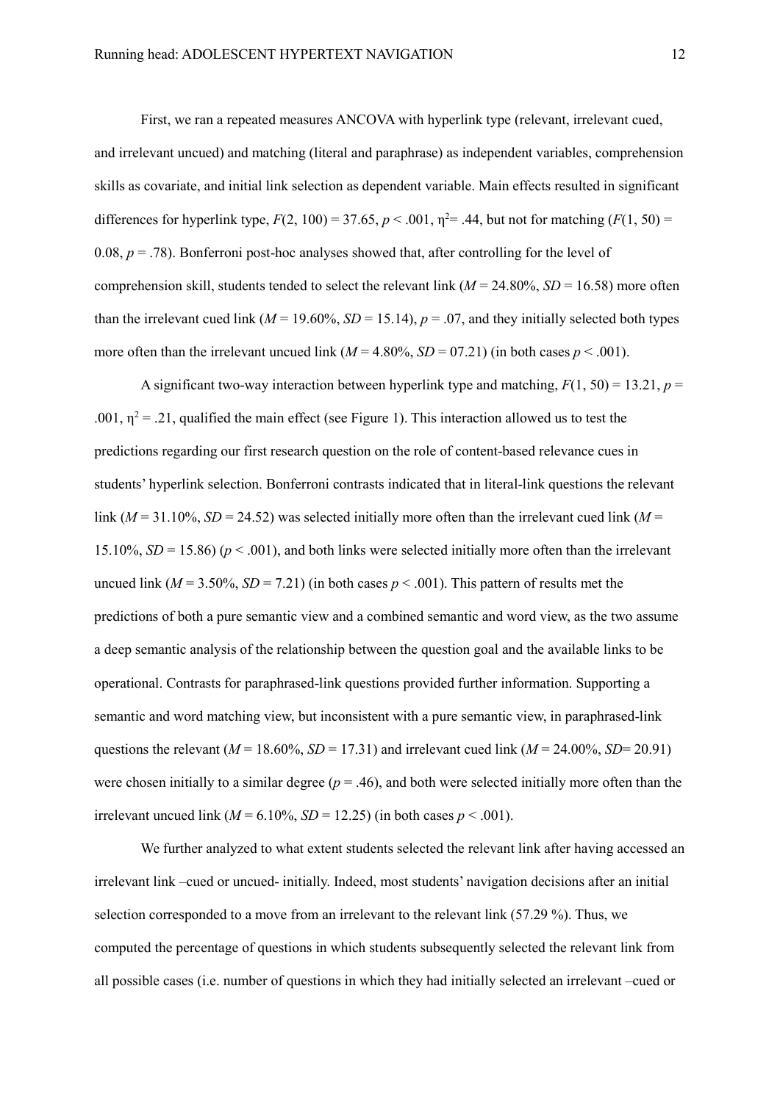First, we ran a repeated measures ANCOVA with hyperlink type (relevant, irrelevant cued, and irrelevant uncued) and matching (literal and paraphrase) as independent variables, comprehension skills as covariate, and initial link selection as dependent variable. Main effects resulted in significant differences for hyperlink type,  $F(2, 100) = 37.65$ ,  $p < .001$ ,  $\eta^2 = .44$ , but not for matching  $(F(1, 50)) =$ 0.08,  $p = .78$ ). Bonferroni post-hoc analyses showed that, after controlling for the level of comprehension skill, students tended to select the relevant link  $(M = 24.80\% , SD = 16.58)$  more often than the irrelevant cued link ( $M = 19.60\%$ ,  $SD = 15.14$ ),  $p = .07$ , and they initially selected both types more often than the irrelevant uncued link  $(M = 4.80\%$ ,  $SD = 07.21$  (in both cases  $p < .001$ ).

A significant two-way interaction between hyperlink type and matching,  $F(1, 50) = 13.21$ ,  $p =$ .001,  $\eta^2$  = .21, qualified the main effect (see Figure 1). This interaction allowed us to test the predictions regarding our first research question on the role of content-based relevance cues in students' hyperlink selection. Bonferroni contrasts indicated that in literal-link questions the relevant link ( $M = 31.10\%$ ,  $SD = 24.52$ ) was selected initially more often than the irrelevant cued link ( $M =$ 15.10%,  $SD = 15.86$ ) ( $p < .001$ ), and both links were selected initially more often than the irrelevant uncued link  $(M = 3.50\%$ ,  $SD = 7.21$ ) (in both cases  $p < .001$ ). This pattern of results met the predictions of both a pure semantic view and a combined semantic and word view, as the two assume a deep semantic analysis of the relationship between the question goal and the available links to be operational. Contrasts for paraphrased-link questions provided further information. Supporting a semantic and word matching view, but inconsistent with a pure semantic view, in paraphrased-link questions the relevant ( $M = 18.60\%$ ,  $SD = 17.31$ ) and irrelevant cued link ( $M = 24.00\%$ ,  $SD = 20.91$ ) were chosen initially to a similar degree ( $p = .46$ ), and both were selected initially more often than the irrelevant uncued link ( $M = 6.10\%$ ,  $SD = 12.25$ ) (in both cases  $p < .001$ ).

We further analyzed to what extent students selected the relevant link after having accessed an irrelevant link –cued or uncued- initially. Indeed, most students' navigation decisions after an initial selection corresponded to a move from an irrelevant to the relevant link (57.29 %). Thus, we computed the percentage of questions in which students subsequently selected the relevant link from all possible cases (i.e. number of questions in which they had initially selected an irrelevant –cued or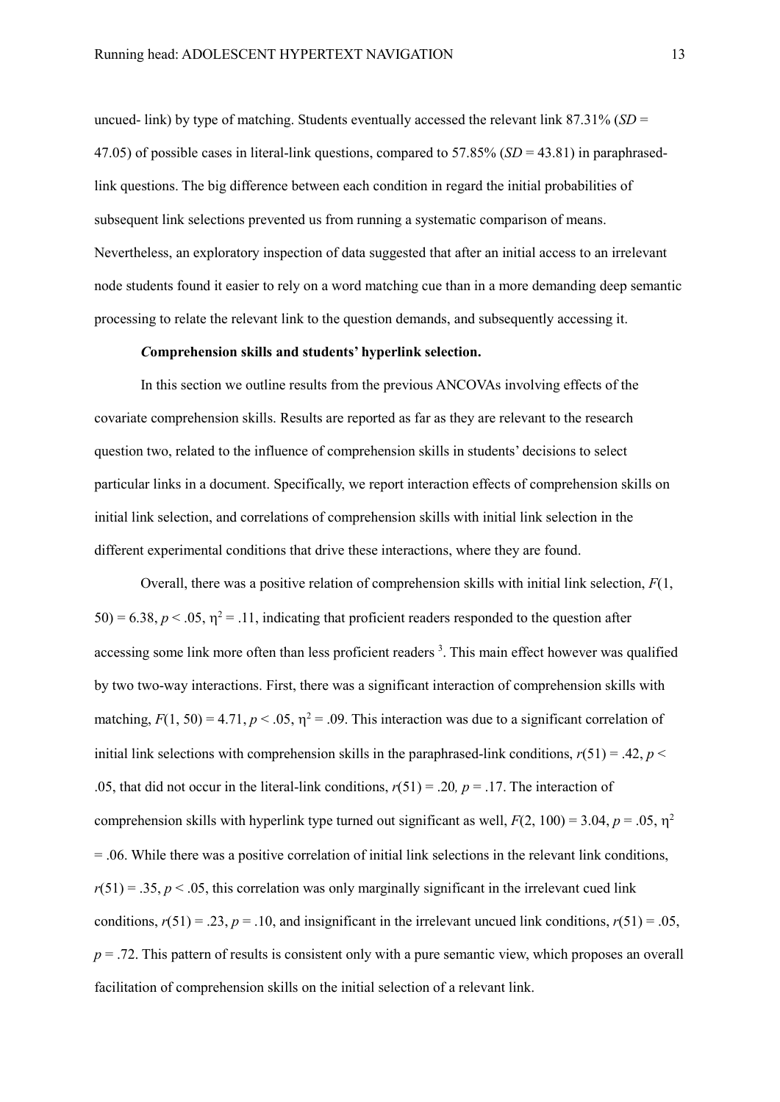uncued- link) by type of matching. Students eventually accessed the relevant link 87.31% (*SD* = 47.05) of possible cases in literal-link questions, compared to 57.85% (*SD* = 43.81) in paraphrasedlink questions. The big difference between each condition in regard the initial probabilities of subsequent link selections prevented us from running a systematic comparison of means. Nevertheless, an exploratory inspection of data suggested that after an initial access to an irrelevant node students found it easier to rely on a word matching cue than in a more demanding deep semantic processing to relate the relevant link to the question demands, and subsequently accessing it.

# *C***omprehension skills and students' hyperlink selection.**

In this section we outline results from the previous ANCOVAs involving effects of the covariate comprehension skills. Results are reported as far as they are relevant to the research question two, related to the influence of comprehension skills in students' decisions to select particular links in a document. Specifically, we report interaction effects of comprehension skills on initial link selection, and correlations of comprehension skills with initial link selection in the different experimental conditions that drive these interactions, where they are found.

Overall, there was a positive relation of comprehension skills with initial link selection, *F*(1,  $50$ ) = 6.38,  $p < .05$ ,  $\eta^2$  = .11, indicating that proficient readers responded to the question after accessing some link more often than less proficient readers<sup>3</sup>. This main effect however was qualified by two two-way interactions. First, there was a significant interaction of comprehension skills with matching,  $F(1, 50) = 4.71$ ,  $p < .05$ ,  $\eta^2 = .09$ . This interaction was due to a significant correlation of initial link selections with comprehension skills in the paraphrased-link conditions,  $r(51) = .42$ ,  $p <$ .05, that did not occur in the literal-link conditions, *r*(51) = .20*, p* = .17. The interaction of comprehension skills with hyperlink type turned out significant as well,  $F(2, 100) = 3.04$ ,  $p = .05$ ,  $\eta^2$ = .06. While there was a positive correlation of initial link selections in the relevant link conditions,  $r(51) = .35, p < .05$ , this correlation was only marginally significant in the irrelevant cued link conditions,  $r(51) = .23$ ,  $p = .10$ , and insignificant in the irrelevant uncued link conditions,  $r(51) = .05$ , *p* = .72. This pattern of results is consistent only with a pure semantic view, which proposes an overall facilitation of comprehension skills on the initial selection of a relevant link.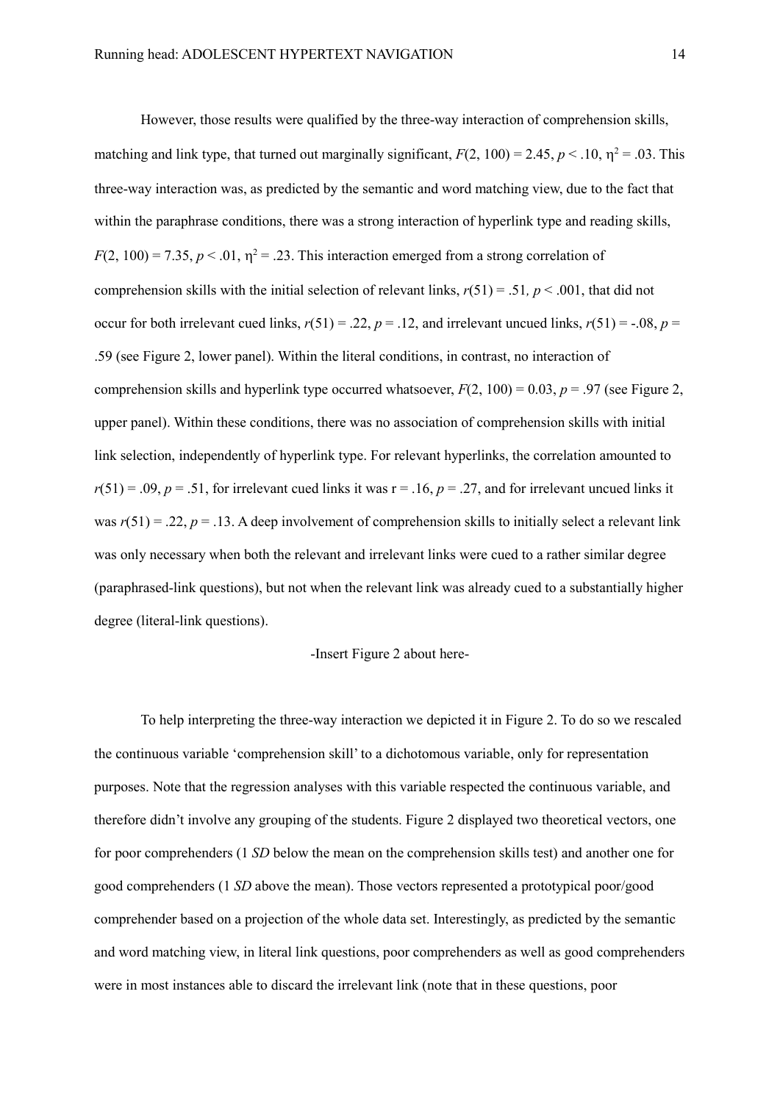However, those results were qualified by the three-way interaction of comprehension skills, matching and link type, that turned out marginally significant,  $F(2, 100) = 2.45$ ,  $p < .10$ ,  $\eta^2 = .03$ . This three-way interaction was, as predicted by the semantic and word matching view, due to the fact that within the paraphrase conditions, there was a strong interaction of hyperlink type and reading skills,  $F(2, 100) = 7.35, p < .01, \eta^2 = .23$ . This interaction emerged from a strong correlation of comprehension skills with the initial selection of relevant links,  $r(51) = .51$ ,  $p < .001$ , that did not occur for both irrelevant cued links,  $r(51) = .22$ ,  $p = .12$ , and irrelevant uncued links,  $r(51) = -.08$ ,  $p =$ .59 (see Figure 2, lower panel). Within the literal conditions, in contrast, no interaction of comprehension skills and hyperlink type occurred whatsoever,  $F(2, 100) = 0.03$ ,  $p = .97$  (see Figure 2, upper panel). Within these conditions, there was no association of comprehension skills with initial link selection, independently of hyperlink type. For relevant hyperlinks, the correlation amounted to  $r(51) = .09$ ,  $p = .51$ , for irrelevant cued links it was  $r = .16$ ,  $p = .27$ , and for irrelevant uncued links it was  $r(51) = 0.22$ ,  $p = 0.13$ . A deep involvement of comprehension skills to initially select a relevant link was only necessary when both the relevant and irrelevant links were cued to a rather similar degree (paraphrased-link questions), but not when the relevant link was already cued to a substantially higher degree (literal-link questions).

# -Insert Figure 2 about here-

To help interpreting the three-way interaction we depicted it in Figure 2. To do so we rescaled the continuous variable 'comprehension skill' to a dichotomous variable, only for representation purposes. Note that the regression analyses with this variable respected the continuous variable, and therefore didn't involve any grouping of the students. Figure 2 displayed two theoretical vectors, one for poor comprehenders (1 *SD* below the mean on the comprehension skills test) and another one for good comprehenders (1 *SD* above the mean). Those vectors represented a prototypical poor/good comprehender based on a projection of the whole data set. Interestingly, as predicted by the semantic and word matching view, in literal link questions, poor comprehenders as well as good comprehenders were in most instances able to discard the irrelevant link (note that in these questions, poor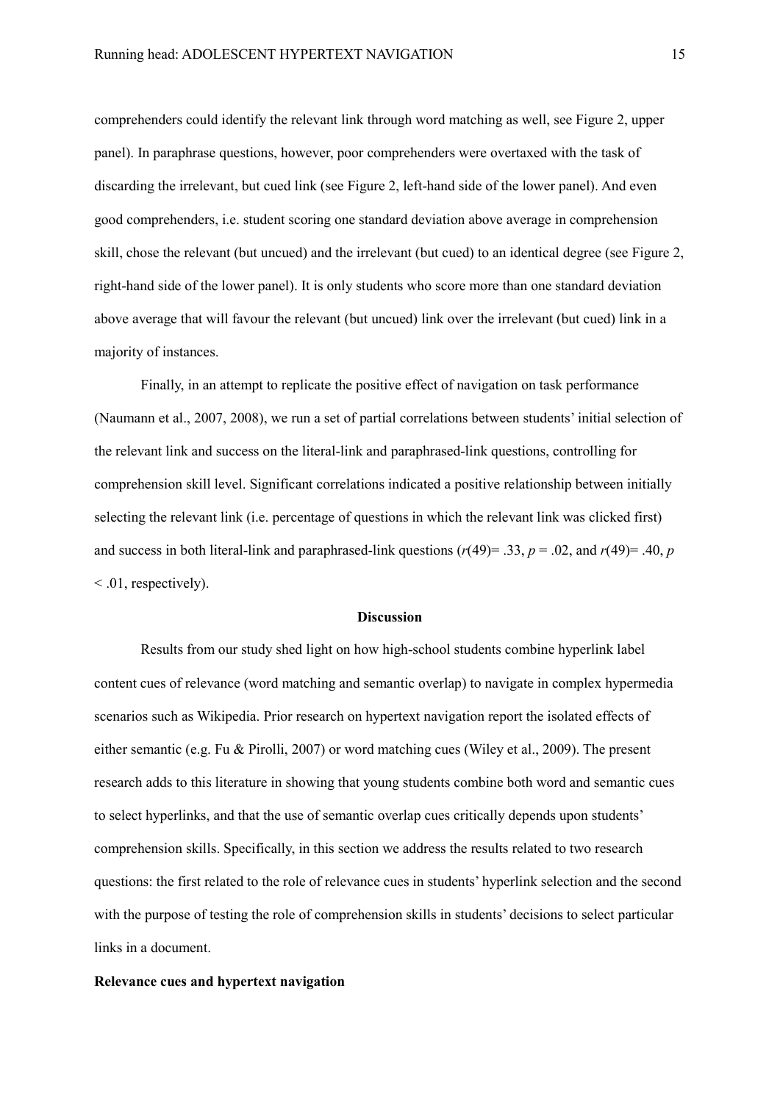comprehenders could identify the relevant link through word matching as well, see Figure 2, upper panel). In paraphrase questions, however, poor comprehenders were overtaxed with the task of discarding the irrelevant, but cued link (see Figure 2, left-hand side of the lower panel). And even good comprehenders, i.e. student scoring one standard deviation above average in comprehension skill, chose the relevant (but uncued) and the irrelevant (but cued) to an identical degree (see Figure 2, right-hand side of the lower panel). It is only students who score more than one standard deviation above average that will favour the relevant (but uncued) link over the irrelevant (but cued) link in a majority of instances.

Finally, in an attempt to replicate the positive effect of navigation on task performance (Naumann et al., 2007, 2008), we run a set of partial correlations between students' initial selection of the relevant link and success on the literal-link and paraphrased-link questions, controlling for comprehension skill level. Significant correlations indicated a positive relationship between initially selecting the relevant link (i.e. percentage of questions in which the relevant link was clicked first) and success in both literal-link and paraphrased-link questions  $(r(49) = .33, p = .02,$  and  $r(49) = .40, p$  $\leq$  .01, respectively).

# **Discussion**

Results from our study shed light on how high-school students combine hyperlink label content cues of relevance (word matching and semantic overlap) to navigate in complex hypermedia scenarios such as Wikipedia. Prior research on hypertext navigation report the isolated effects of either semantic (e.g. Fu & Pirolli, 2007) or word matching cues (Wiley et al., 2009). The present research adds to this literature in showing that young students combine both word and semantic cues to select hyperlinks, and that the use of semantic overlap cues critically depends upon students' comprehension skills. Specifically, in this section we address the results related to two research questions: the first related to the role of relevance cues in students' hyperlink selection and the second with the purpose of testing the role of comprehension skills in students' decisions to select particular links in a document.

# **Relevance cues and hypertext navigation**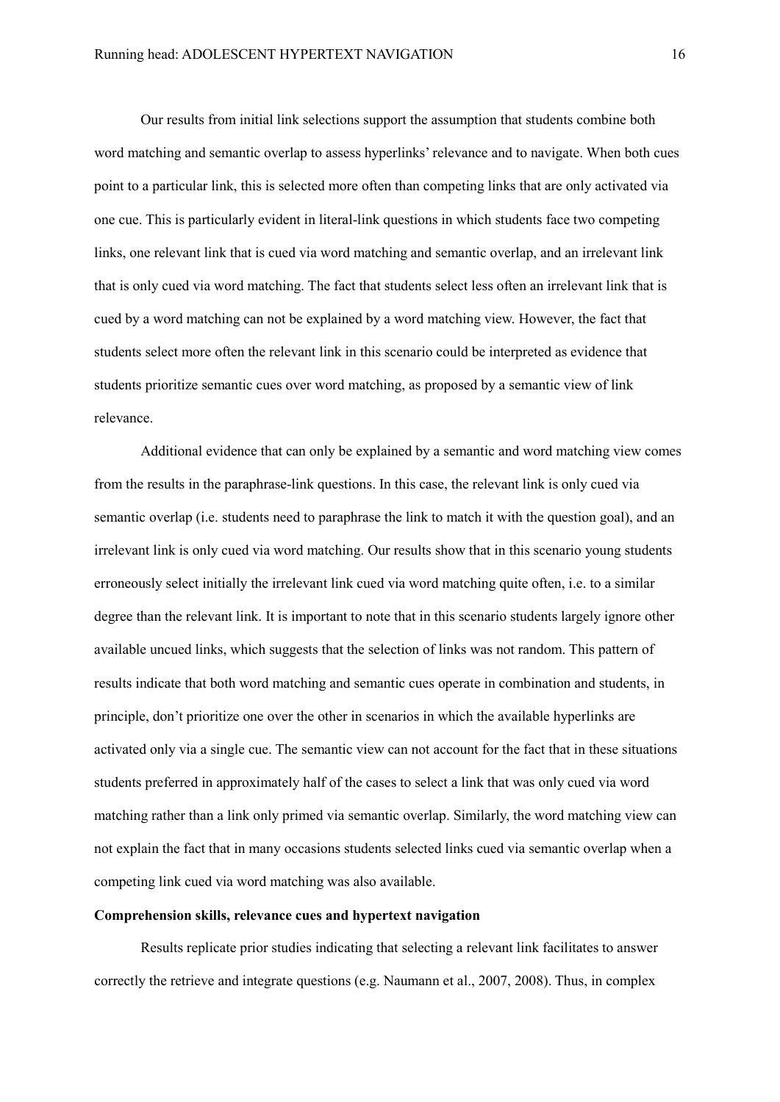Our results from initial link selections support the assumption that students combine both word matching and semantic overlap to assess hyperlinks' relevance and to navigate. When both cues point to a particular link, this is selected more often than competing links that are only activated via one cue. This is particularly evident in literal-link questions in which students face two competing links, one relevant link that is cued via word matching and semantic overlap, and an irrelevant link that is only cued via word matching. The fact that students select less often an irrelevant link that is cued by a word matching can not be explained by a word matching view. However, the fact that students select more often the relevant link in this scenario could be interpreted as evidence that students prioritize semantic cues over word matching, as proposed by a semantic view of link relevance.

Additional evidence that can only be explained by a semantic and word matching view comes from the results in the paraphrase-link questions. In this case, the relevant link is only cued via semantic overlap (i.e. students need to paraphrase the link to match it with the question goal), and an irrelevant link is only cued via word matching. Our results show that in this scenario young students erroneously select initially the irrelevant link cued via word matching quite often, i.e. to a similar degree than the relevant link. It is important to note that in this scenario students largely ignore other available uncued links, which suggests that the selection of links was not random. This pattern of results indicate that both word matching and semantic cues operate in combination and students, in principle, don't prioritize one over the other in scenarios in which the available hyperlinks are activated only via a single cue. The semantic view can not account for the fact that in these situations students preferred in approximately half of the cases to select a link that was only cued via word matching rather than a link only primed via semantic overlap. Similarly, the word matching view can not explain the fact that in many occasions students selected links cued via semantic overlap when a competing link cued via word matching was also available.

# **Comprehension skills, relevance cues and hypertext navigation**

Results replicate prior studies indicating that selecting a relevant link facilitates to answer correctly the retrieve and integrate questions (e.g. Naumann et al., 2007, 2008). Thus, in complex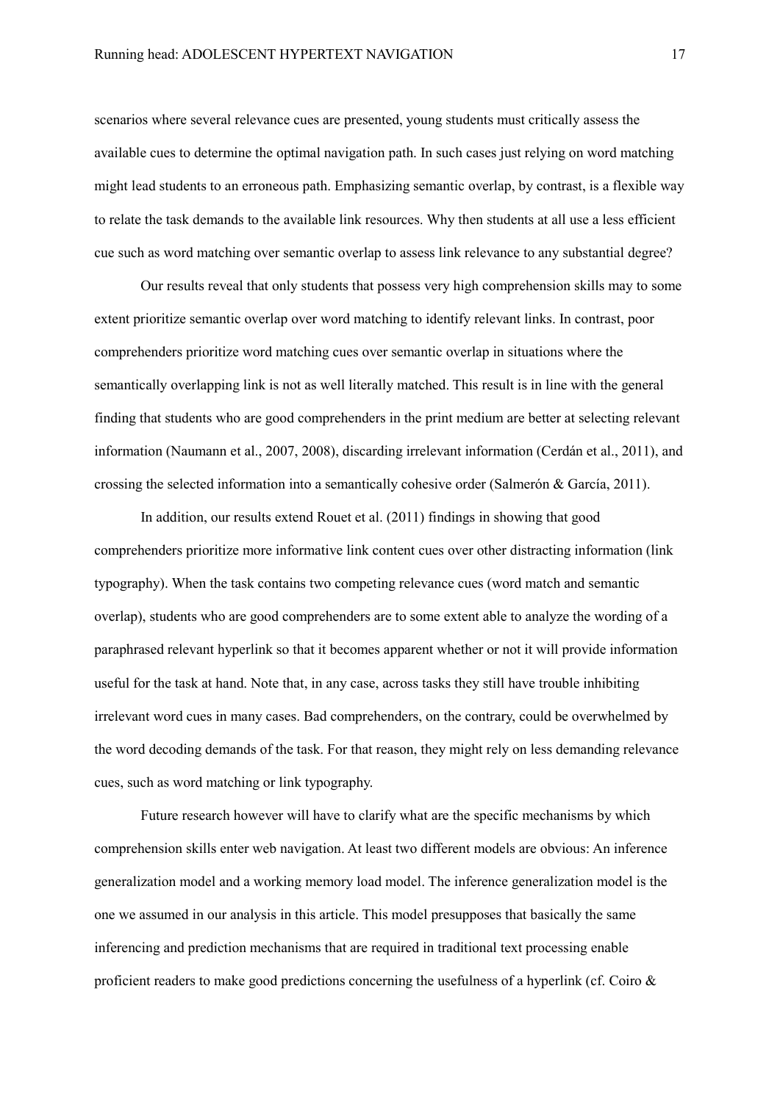scenarios where several relevance cues are presented, young students must critically assess the available cues to determine the optimal navigation path. In such cases just relying on word matching might lead students to an erroneous path. Emphasizing semantic overlap, by contrast, is a flexible way to relate the task demands to the available link resources. Why then students at all use a less efficient cue such as word matching over semantic overlap to assess link relevance to any substantial degree?

Our results reveal that only students that possess very high comprehension skills may to some extent prioritize semantic overlap over word matching to identify relevant links. In contrast, poor comprehenders prioritize word matching cues over semantic overlap in situations where the semantically overlapping link is not as well literally matched. This result is in line with the general finding that students who are good comprehenders in the print medium are better at selecting relevant information (Naumann et al., 2007, 2008), discarding irrelevant information (Cerdán et al., 2011), and crossing the selected information into a semantically cohesive order (Salmerón & García, 2011).

In addition, our results extend Rouet et al. (2011) findings in showing that good comprehenders prioritize more informative link content cues over other distracting information (link typography). When the task contains two competing relevance cues (word match and semantic overlap), students who are good comprehenders are to some extent able to analyze the wording of a paraphrased relevant hyperlink so that it becomes apparent whether or not it will provide information useful for the task at hand. Note that, in any case, across tasks they still have trouble inhibiting irrelevant word cues in many cases. Bad comprehenders, on the contrary, could be overwhelmed by the word decoding demands of the task. For that reason, they might rely on less demanding relevance cues, such as word matching or link typography.

Future research however will have to clarify what are the specific mechanisms by which comprehension skills enter web navigation. At least two different models are obvious: An inference generalization model and a working memory load model. The inference generalization model is the one we assumed in our analysis in this article. This model presupposes that basically the same inferencing and prediction mechanisms that are required in traditional text processing enable proficient readers to make good predictions concerning the usefulness of a hyperlink (cf. Coiro &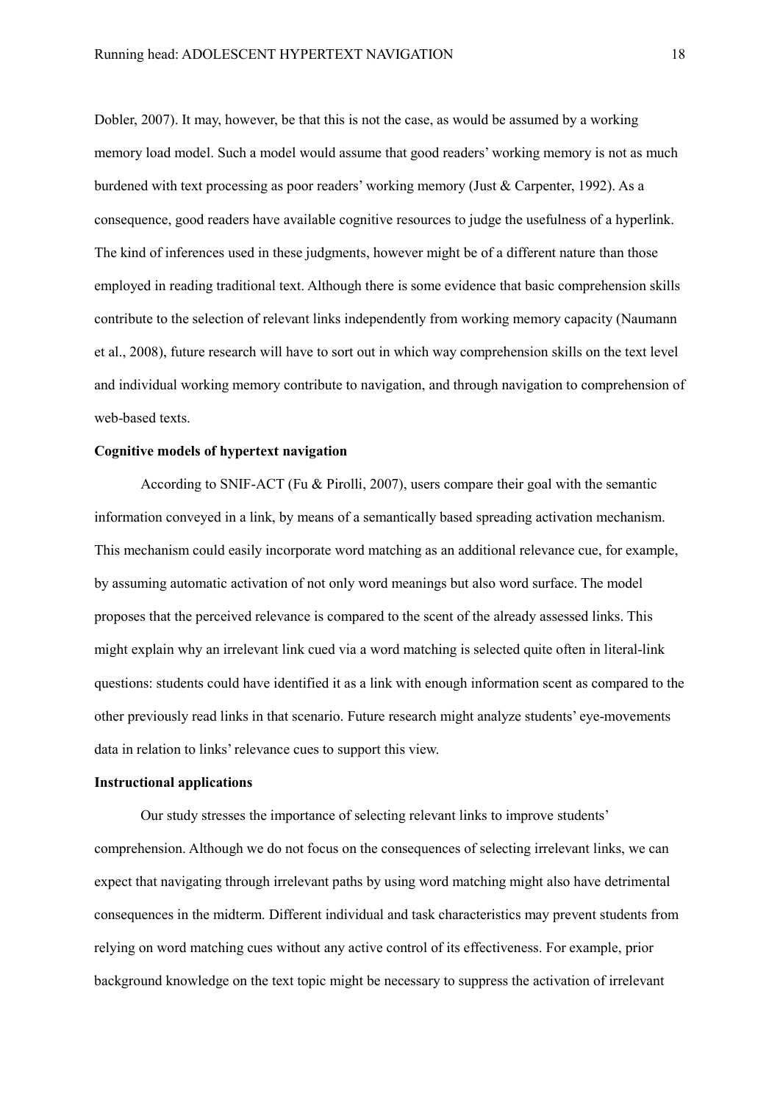Dobler, 2007). It may, however, be that this is not the case, as would be assumed by a working memory load model. Such a model would assume that good readers' working memory is not as much burdened with text processing as poor readers' working memory (Just & Carpenter, 1992). As a consequence, good readers have available cognitive resources to judge the usefulness of a hyperlink. The kind of inferences used in these judgments, however might be of a different nature than those employed in reading traditional text. Although there is some evidence that basic comprehension skills contribute to the selection of relevant links independently from working memory capacity (Naumann et al., 2008), future research will have to sort out in which way comprehension skills on the text level and individual working memory contribute to navigation, and through navigation to comprehension of web-based texts.

# **Cognitive models of hypertext navigation**

According to SNIF-ACT (Fu & Pirolli, 2007), users compare their goal with the semantic information conveyed in a link, by means of a semantically based spreading activation mechanism. This mechanism could easily incorporate word matching as an additional relevance cue, for example, by assuming automatic activation of not only word meanings but also word surface. The model proposes that the perceived relevance is compared to the scent of the already assessed links. This might explain why an irrelevant link cued via a word matching is selected quite often in literal-link questions: students could have identified it as a link with enough information scent as compared to the other previously read links in that scenario. Future research might analyze students' eye-movements data in relation to links' relevance cues to support this view.

# **Instructional applications**

Our study stresses the importance of selecting relevant links to improve students' comprehension. Although we do not focus on the consequences of selecting irrelevant links, we can expect that navigating through irrelevant paths by using word matching might also have detrimental consequences in the midterm. Different individual and task characteristics may prevent students from relying on word matching cues without any active control of its effectiveness. For example, prior background knowledge on the text topic might be necessary to suppress the activation of irrelevant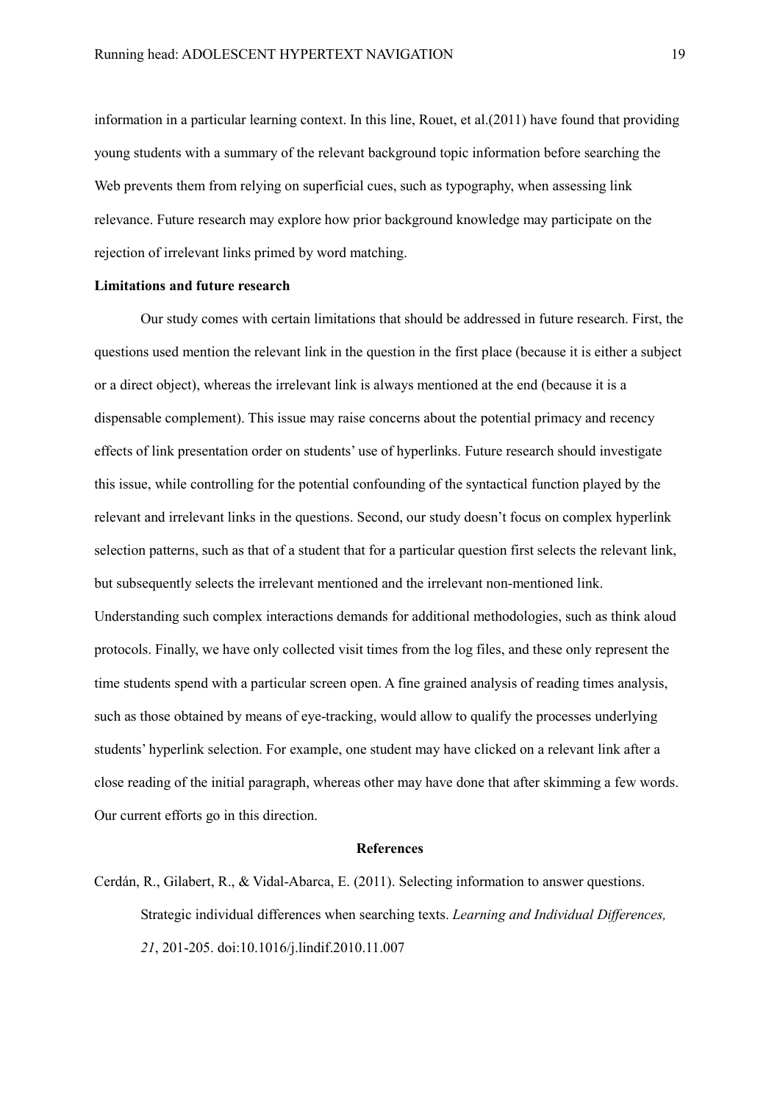information in a particular learning context. In this line, Rouet, et al.(2011) have found that providing young students with a summary of the relevant background topic information before searching the Web prevents them from relying on superficial cues, such as typography, when assessing link relevance. Future research may explore how prior background knowledge may participate on the rejection of irrelevant links primed by word matching.

# **Limitations and future research**

Our study comes with certain limitations that should be addressed in future research. First, the questions used mention the relevant link in the question in the first place (because it is either a subject or a direct object), whereas the irrelevant link is always mentioned at the end (because it is a dispensable complement). This issue may raise concerns about the potential primacy and recency effects of link presentation order on students' use of hyperlinks. Future research should investigate this issue, while controlling for the potential confounding of the syntactical function played by the relevant and irrelevant links in the questions. Second, our study doesn't focus on complex hyperlink selection patterns, such as that of a student that for a particular question first selects the relevant link, but subsequently selects the irrelevant mentioned and the irrelevant non-mentioned link. Understanding such complex interactions demands for additional methodologies, such as think aloud protocols. Finally, we have only collected visit times from the log files, and these only represent the time students spend with a particular screen open. A fine grained analysis of reading times analysis, such as those obtained by means of eye-tracking, would allow to qualify the processes underlying students' hyperlink selection. For example, one student may have clicked on a relevant link after a close reading of the initial paragraph, whereas other may have done that after skimming a few words. Our current efforts go in this direction.

# **References**

Cerdán, R., Gilabert, R., & Vidal-Abarca, E. (2011). Selecting information to answer questions. Strategic individual differences when searching texts. *Learning and Individual Differences, 21*, 201-205. doi:10.1016/j.lindif.2010.11.007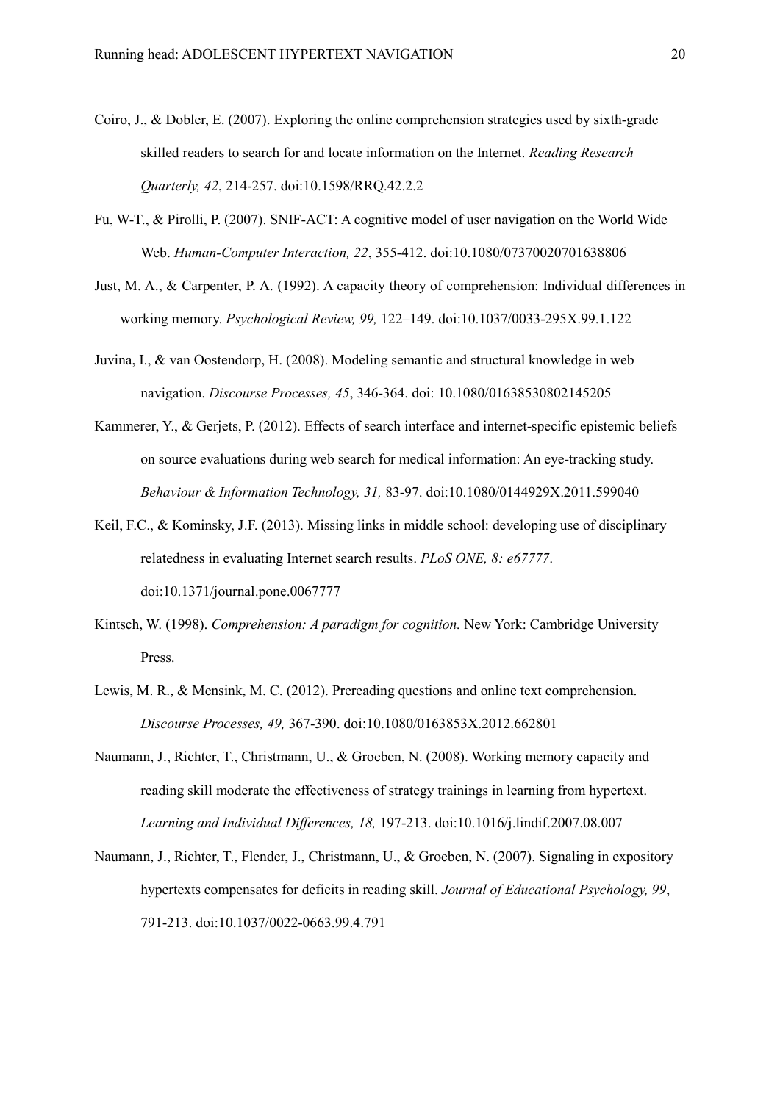- Coiro, J., & Dobler, E. (2007). Exploring the online comprehension strategies used by sixth-grade skilled readers to search for and locate information on the Internet. *Reading Research Quarterly, 42*, 214-257. doi:10.1598/RRQ.42.2.2
- Fu, W-T., & Pirolli, P. (2007). SNIF-ACT: A cognitive model of user navigation on the World Wide Web. *Human-Computer Interaction, 22*, 355-412. doi:10.1080/07370020701638806
- Just, M. A., & Carpenter, P. A. (1992). A capacity theory of comprehension: Individual differences in working memory. *Psychological Review, 99,* 122–149. doi:10.1037/0033-295X.99.1.122
- Juvina, I., & van Oostendorp, H. (2008). Modeling semantic and structural knowledge in web navigation. *Discourse Processes, 45*, 346-364. doi: 10.1080/01638530802145205
- Kammerer, Y., & Gerjets, P. (2012). Effects of search interface and internet-specific epistemic beliefs on source evaluations during web search for medical information: An eye-tracking study. *Behaviour & Information Technology, 31,* 83-97. doi:10.1080/0144929X.2011.599040
- Keil, F.C., & Kominsky, J.F. (2013). Missing links in middle school: developing use of disciplinary relatedness in evaluating Internet search results. *PLoS ONE, 8: e67777*. doi:10.1371/journal.pone.0067777
- Kintsch, W. (1998). *Comprehension: A paradigm for cognition.* New York: Cambridge University Press.
- Lewis, M. R., & Mensink, M. C. (2012). Prereading questions and online text comprehension. *Discourse Processes, 49,* 367-390. doi:10.1080/0163853X.2012.662801
- Naumann, J., Richter, T., Christmann, U., & Groeben, N. (2008). Working memory capacity and reading skill moderate the effectiveness of strategy trainings in learning from hypertext. *Learning and Individual Differences, 18,* 197-213. doi:10.1016/j.lindif.2007.08.007
- Naumann, J., Richter, T., Flender, J., Christmann, U., & Groeben, N. (2007). Signaling in expository hypertexts compensates for deficits in reading skill. *Journal of Educational Psychology, 99*, 791-213. doi:10.1037/0022-0663.99.4.791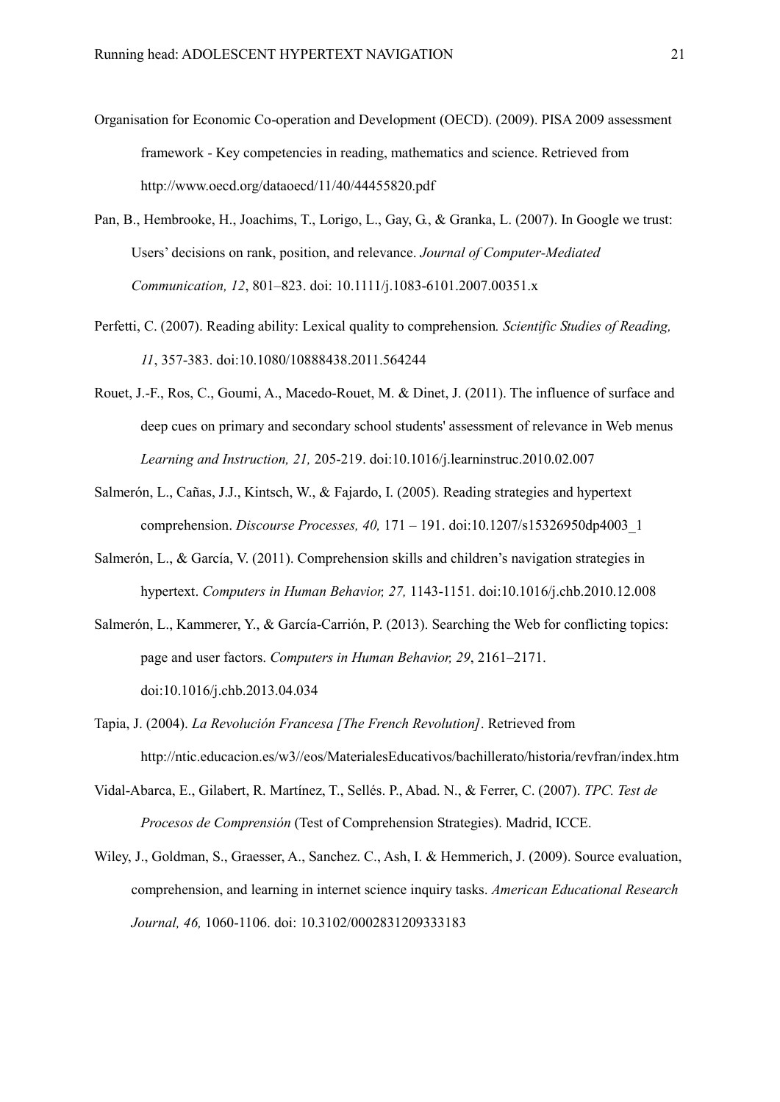- Organisation for Economic Co-operation and Development (OECD). (2009). PISA 2009 assessment framework - Key competencies in reading, mathematics and science. Retrieved from http://www.oecd.org/dataoecd/11/40/44455820.pdf
- Pan, B., Hembrooke, H., Joachims, T., Lorigo, L., Gay, G., & Granka, L. (2007). In Google we trust: Users' decisions on rank, position, and relevance. *Journal of Computer-Mediated Communication, 12*, 801–823. doi: 10.1111/j.1083-6101.2007.00351.x
- Perfetti, C. (2007). Reading ability: Lexical quality to comprehension*. Scientific Studies of Reading, 11*, 357-383. doi:10.1080/10888438.2011.564244
- Rouet, J.-F., Ros, C., Goumi, A., Macedo-Rouet, M. & Dinet, J. (2011). The influence of surface and deep cues on primary and secondary school students' assessment of relevance in Web menus *Learning and Instruction, 21,* 205-219. doi:10.1016/j.learninstruc.2010.02.007
- Salmerón, L., Cañas, J.J., Kintsch, W., & Fajardo, I. (2005). Reading strategies and hypertext comprehension. *Discourse Processes, 40,* 171 – 191. doi:10.1207/s15326950dp4003\_1
- Salmerón, L., & García, V. (2011). Comprehension skills and children's navigation strategies in hypertext. *Computers in Human Behavior, 27,* 1143-1151. doi:10.1016/j.chb.2010.12.008
- Salmerón, L., Kammerer, Y., & García-Carrión, P. (2013). Searching the Web for conflicting topics: page and user factors. *Computers in Human Behavior, 29*, 2161–2171. doi:10.1016/j.chb.2013.04.034
- Tapia, J. (2004). *La Revolución Francesa [The French Revolution]*. Retrieved from http://ntic.educacion.es/w3//eos/MaterialesEducativos/bachillerato/historia/revfran/index.htm
- Vidal-Abarca, E., Gilabert, R. Martínez, T., Sellés. P., Abad. N., & Ferrer, C. (2007). *TPC. Test de Procesos de Comprensión* (Test of Comprehension Strategies). Madrid, ICCE.
- Wiley, J., Goldman, S., Graesser, A., Sanchez. C., Ash, I. & Hemmerich, J. (2009). Source evaluation, comprehension, and learning in internet science inquiry tasks. *American Educational Research Journal, 46,* 1060-1106. doi: 10.3102/0002831209333183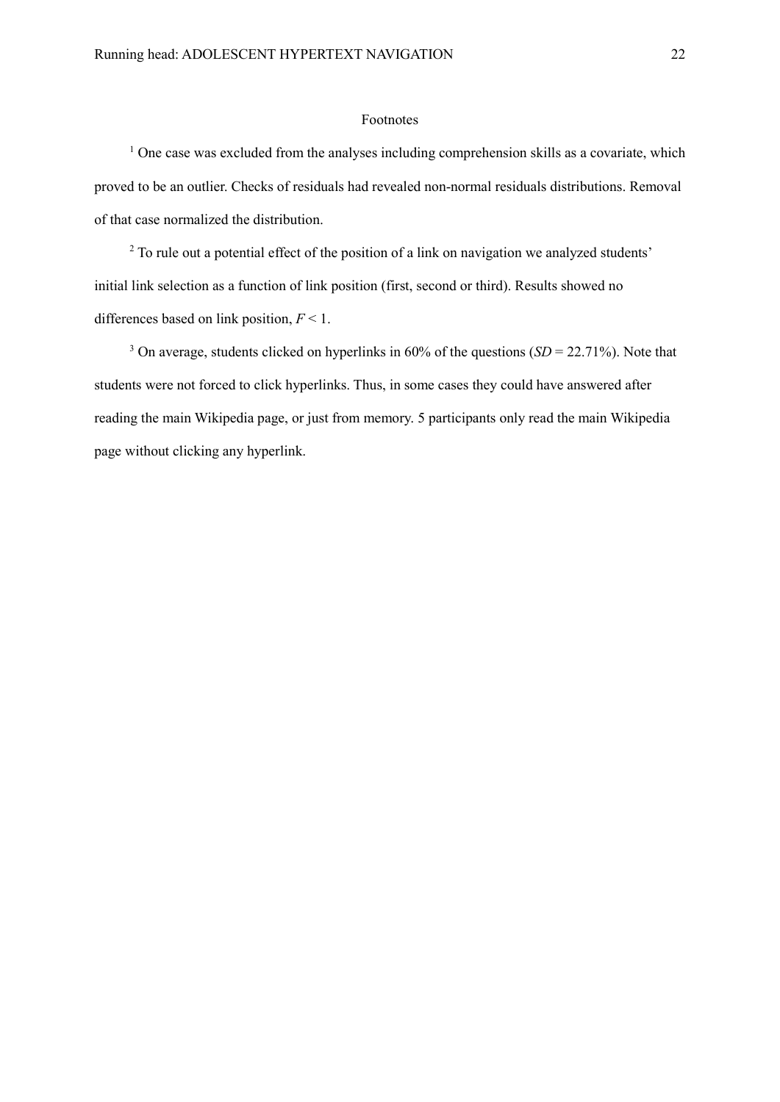# Footnotes

<sup>1</sup> One case was excluded from the analyses including comprehension skills as a covariate, which proved to be an outlier. Checks of residuals had revealed non-normal residuals distributions. Removal of that case normalized the distribution.

<sup>2</sup> To rule out a potential effect of the position of a link on navigation we analyzed students' initial link selection as a function of link position (first, second or third). Results showed no differences based on link position, *F* < 1.

<sup>3</sup> On average, students clicked on hyperlinks in 60% of the questions (*SD* = 22.71%). Note that students were not forced to click hyperlinks. Thus, in some cases they could have answered after reading the main Wikipedia page, or just from memory. 5 participants only read the main Wikipedia page without clicking any hyperlink.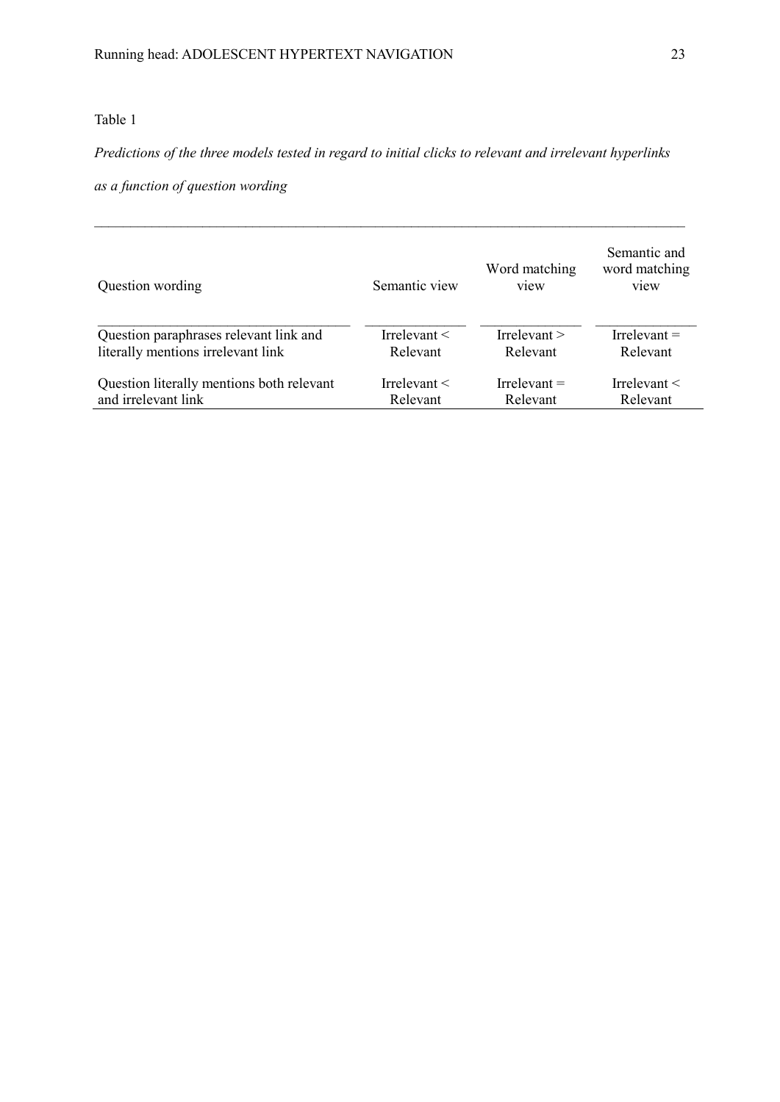# Table 1

# *Predictions of the three models tested in regard to initial clicks to relevant and irrelevant hyperlinks*

 $\_$  , and the contribution of the contribution of the contribution of the contribution of the contribution of  $\mathcal{L}_\text{max}$ 

*as a function of question wording* 

| Question wording                          | Semantic view     | Word matching<br>view | Semantic and<br>word matching<br>view |
|-------------------------------------------|-------------------|-----------------------|---------------------------------------|
| Question paraphrases relevant link and    | Irrelevant $\leq$ | Irrelevant $>$        | Irrelevant $=$                        |
| literally mentions irrelevant link        | Relevant          | Relevant              | Relevant                              |
| Question literally mentions both relevant | Irrelevant $\leq$ | Irrelevant $=$        | Irrelevant $\leq$                     |
| and irrelevant link                       | Relevant          | Relevant              | Relevant                              |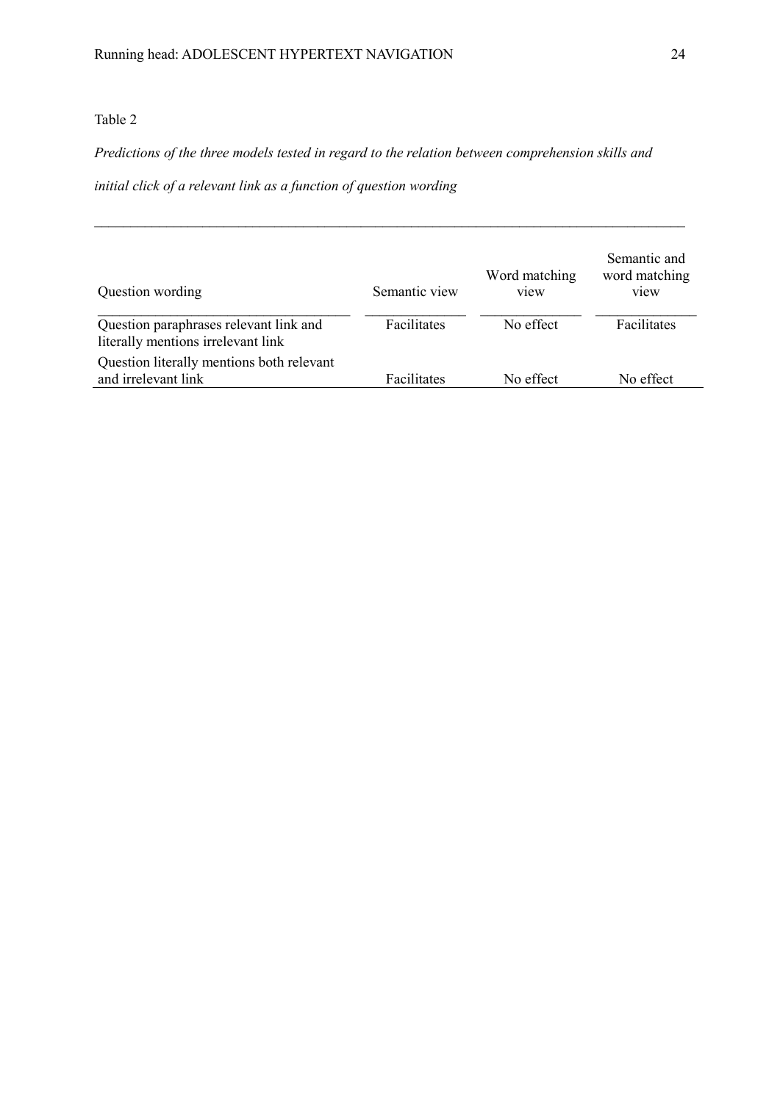# Table 2

# *Predictions of the three models tested in regard to the relation between comprehension skills and*

*initial click of a relevant link as a function of question wording* 

| Question wording                                                             | Semantic view | Word matching<br>view | Semantic and<br>word matching<br>view |
|------------------------------------------------------------------------------|---------------|-----------------------|---------------------------------------|
| Question paraphrases relevant link and<br>literally mentions irrelevant link | Facilitates   | No effect             | <b>Facilitates</b>                    |
| Question literally mentions both relevant<br>and irrelevant link             | Facilitates   | No effect             | No effect                             |

*\_\_\_\_\_\_\_\_\_\_\_\_\_\_\_\_\_\_\_\_\_\_\_\_\_\_\_\_\_\_\_\_\_\_\_\_\_\_\_\_\_\_\_\_\_\_\_\_\_\_\_\_\_\_\_\_\_\_\_\_\_\_\_\_\_\_\_\_\_\_\_\_\_\_\_\_\_\_\_\_\_\_*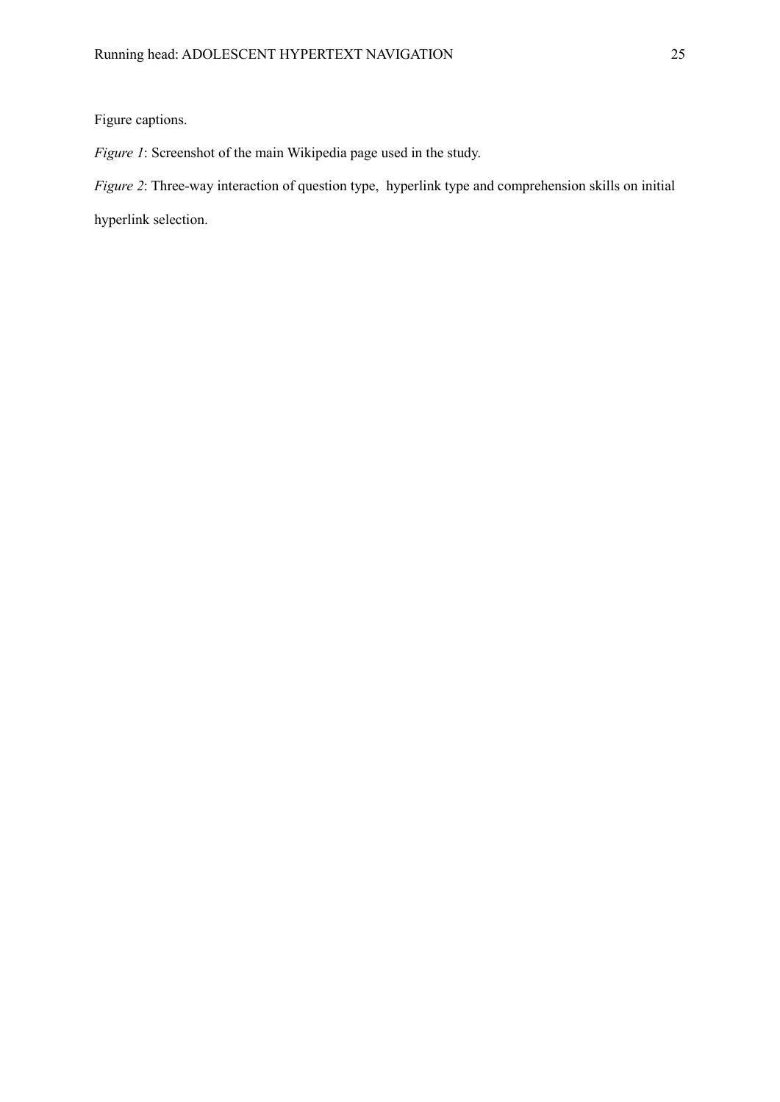# Figure captions.

*Figure 1*: Screenshot of the main Wikipedia page used in the study.

*Figure 2*: Three-way interaction of question type, hyperlink type and comprehension skills on initial

hyperlink selection.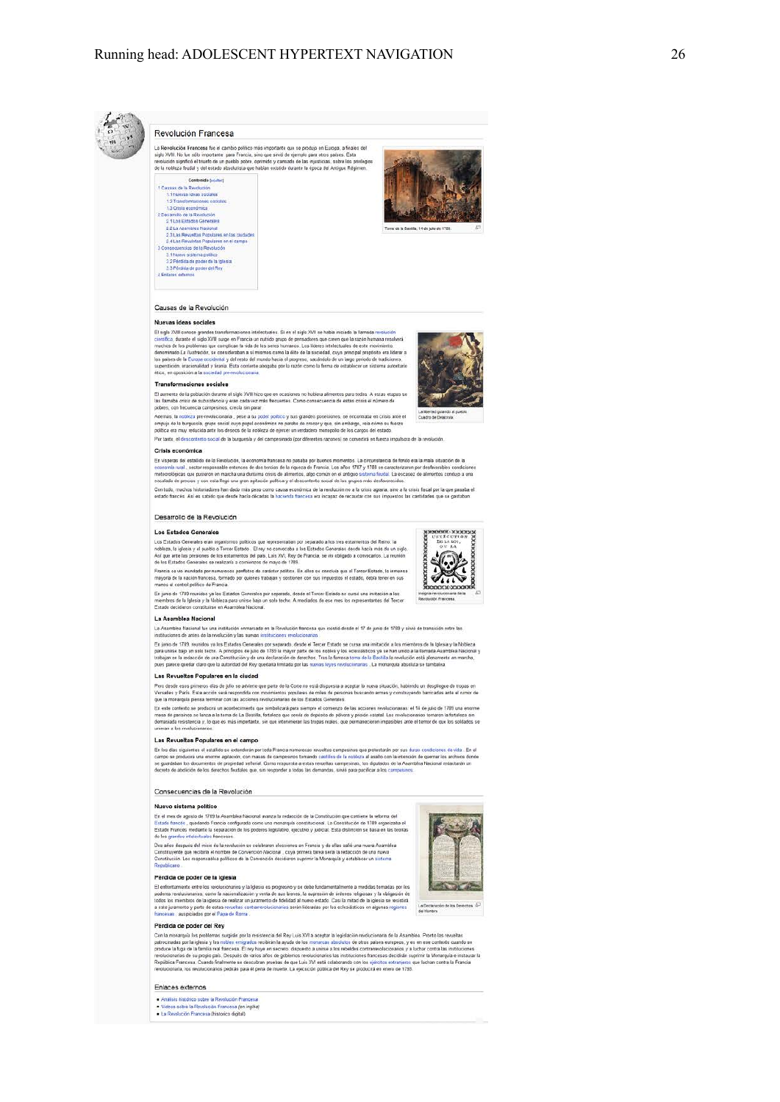

### Revolución Francesa

La Revolución Francesa fue el cambio político más importante que se produjo en Europa, a finales del<br>siglo XVIII. No fue aído importante para Francia, sino que sinó de ejemplo para otros países. Esta<br>renolución argentica e





### Causas de la Revolución

### Nuevas ideas sociales

Fil sign XVIII conce grandes transformaciones intelectuales. Si an al siglo XVII se había iniciado la Islamada revolución<br>El siglo XVIII conce grandes transformaciones intelectuales. Si an al siglo XVII se había iniciado l supersucion, inacionalidad<br>Alico, en nonsirión a la son **Carl me** 

#### Transformaciones sociales



Transformaciones sociales<br>El aumento de la población durate el siglo XVIII haza que en ocasiones no hubiera alimentos para todos. A estas etapas se<br>las llamaba oriste de subsistència y eran cada vez más frecuentes. Como co

poores, con mecunota campesnos, crecia ser parar.<br>Además, la nobleza prevenducionaria, peros a su poder político y sus grandes poseíanes, se encontraba en crisis ante el<br>ampuje de la burguesia, grups social cuyo papel econ

Por tanto, el descontento social de la burquesia y del campesinado (por diferentes razones) se convertirá en fuerza impulsora de la revol

### Crisis económica

En visperas del estalido de la Revolución, la economía francesa no pasaba por buenos momentos. La circunstancia de fondo era la maia situación de la<br>economía lural, sector responsable entonces de das tencios de la nigueza

.<br>Con todo, muchos histonadores han dado más peso como causa económica de la revolución no a la crisis agrana, sino a la crisis fiscal por la que pasaba el<br>estado francés. Así es sabido que desde hacía décadas la hacienda

### Desarrollo de la Revolución

### Los Estados Generales

Los Extados Generales eran organismos políticos que representaban por separado a los tres estamentos del Reino: la<br>nobleza, la iglosia y el pueblo o Tercer Estado. El rey no convocaba a los Estados Generales desde hacía má

e Timera se un immissio por numerosos partidos de carácter político. En ellos se concluía que el Tercer Estado, la immensa<br>mayoría de la nación faccesa. formado por quienes trabajan y sosfenen con sus impuestos el estado,

En junio de 1789 reunidos ya los Estados Canerales por separado, desde el Tercer Estado se cursó una invitación a los<br>miembros de la Igleia y la Nobleza para unirse bajo un solo techo. A mediados de ese mes los representan

#### La Asamblea Nacional

La Asambias Nacional fue una institución enmarcada en la Revolución francesa que existió desde el 17 de junio de 1789 y sirvó de transición en<br>Instituciones de antes de la revolución y las nuevas instituciones revolucionar

e En junio de 1789, reunidos ya los Estados Cenerales por separado, desde el Tercer Estado se cursa una imitación a los mientros de la Iglesia y la Nobleza<br>para univa haigi en sela techo. A procipios de junio de 1789 la ma

### Las Revueltas Populares en la ciudad

Pero desde esos primeros dias de julio se adviete que parte de la Corte no está dispuesta a oceptar la nueva stuación, habiendo un despliegue de tropas en<br>Versalles y París. Esta acción será espondita con movimientos oppla

que in monegan pensa terminar con us acconse avoicuonana o e o extence, useraras.<br>En este contexto se proficirá un acontecimiento que simbolizará para siempre el comienzo de las acciones ivolucionarias: el 14 de julio de 1

#### Las Revueltas Populares en el campo

En los días siguientes el estallos se extenderán por toda Francia numerosas revueltas campeismas que protestanín por sus duras condiciones de vida . En el<br>Can los días siguientes el estallos se extenderán por toda e campei

### Consecuencias de la Revolución

### Nuevo sistema politico

En el mes de agosto de 1789 la Asamblea Nacional avanza la redacción de la Constitución que contiene la reforma del<br>Estado francés , quivilando Francia configurada como una monarquía constitucional. La Constitución de 1789

de los grandes intelectuales franceses<br>Das alfos despeits del reixió de la revolución se celebraron elecciones en Francia y de ellas salió una nueva<br>Constituyente qua recibita el nombre de Convención Nacional , cuya primer

### Pérdida de poder de la Iglesia

El enferntamiento entre los reoducionarios y la Iglesia es progresivo y se debe fundamentalmente a medidas tomadas por los<br>poderes revolucionarios, como la nacionalización y venta de sua Nemes, la supresión de drómes relig

### Pérdida de poder del Rey

r extreme to protein the system of the proteined of Rey Luis XVI a aceptar la legislación revolucionaria de la Asamblea. Pronto las revuelhas publicanas de la Asamblea. Pronto las revuelhas publicanas surgirán por la resis

### Enlaces externos

- Análisis histórico sobre la Revolución Francesa<br>- Videos sobre la Revolución Francesa (en inglés)<br>- La Revolución Francesa (historico digital)



La Declaración de los Derechos  $\sqrt{5}$